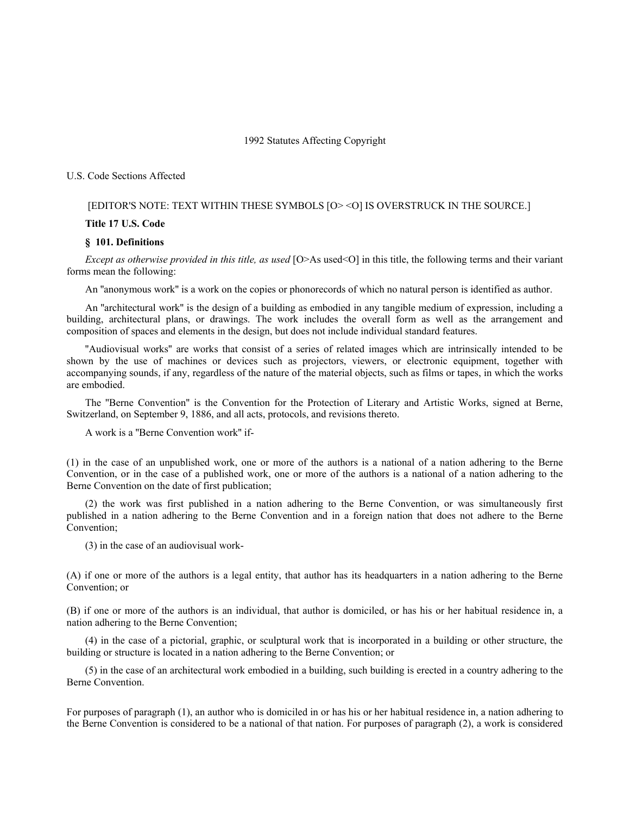## 1992 Statutes Affecting Copyright

#### U.S. Code Sections Affected

# [EDITOR'S NOTE: TEXT WITHIN THESE SYMBOLS [O> <O] IS OVERSTRUCK IN THE SOURCE.]

## **Title 17 U.S. Code**

## **§ 101. Definitions**

*Except as otherwise provided in this title, as used* [O>As used<O] in this title, the following terms and their variant forms mean the following:

An ''anonymous work'' is a work on the copies or phonorecords of which no natural person is identified as author.

An "architectural work" is the design of a building as embodied in any tangible medium of expression, including a building, architectural plans, or drawings. The work includes the overall form as well as the arrangement and composition of spaces and elements in the design, but does not include individual standard features.

''Audiovisual works'' are works that consist of a series of related images which are intrinsically intended to be shown by the use of machines or devices such as projectors, viewers, or electronic equipment, together with accompanying sounds, if any, regardless of the nature of the material objects, such as films or tapes, in which the works are embodied.

The ''Berne Convention'' is the Convention for the Protection of Literary and Artistic Works, signed at Berne, Switzerland, on September 9, 1886, and all acts, protocols, and revisions thereto.

A work is a ''Berne Convention work'' if-

(1) in the case of an unpublished work, one or more of the authors is a national of a nation adhering to the Berne Convention, or in the case of a published work, one or more of the authors is a national of a nation adhering to the Berne Convention on the date of first publication;

(2) the work was first published in a nation adhering to the Berne Convention, or was simultaneously first published in a nation adhering to the Berne Convention and in a foreign nation that does not adhere to the Berne Convention;

(3) in the case of an audiovisual work-

(A) if one or more of the authors is a legal entity, that author has its headquarters in a nation adhering to the Berne Convention; or

(B) if one or more of the authors is an individual, that author is domiciled, or has his or her habitual residence in, a nation adhering to the Berne Convention;

(4) in the case of a pictorial, graphic, or sculptural work that is incorporated in a building or other structure, the building or structure is located in a nation adhering to the Berne Convention; or

(5) in the case of an architectural work embodied in a building, such building is erected in a country adhering to the Berne Convention.

For purposes of paragraph (1), an author who is domiciled in or has his or her habitual residence in, a nation adhering to the Berne Convention is considered to be a national of that nation. For purposes of paragraph (2), a work is considered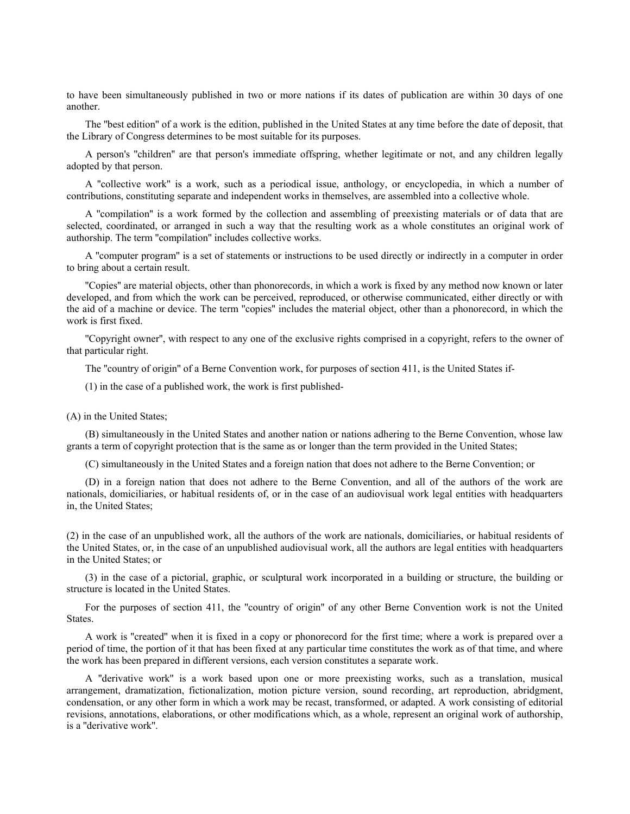to have been simultaneously published in two or more nations if its dates of publication are within 30 days of one another.

The ''best edition'' of a work is the edition, published in the United States at any time before the date of deposit, that the Library of Congress determines to be most suitable for its purposes.

A person's ''children'' are that person's immediate offspring, whether legitimate or not, and any children legally adopted by that person.

A ''collective work'' is a work, such as a periodical issue, anthology, or encyclopedia, in which a number of contributions, constituting separate and independent works in themselves, are assembled into a collective whole.

A ''compilation'' is a work formed by the collection and assembling of preexisting materials or of data that are selected, coordinated, or arranged in such a way that the resulting work as a whole constitutes an original work of authorship. The term ''compilation'' includes collective works.

A ''computer program'' is a set of statements or instructions to be used directly or indirectly in a computer in order to bring about a certain result.

''Copies'' are material objects, other than phonorecords, in which a work is fixed by any method now known or later developed, and from which the work can be perceived, reproduced, or otherwise communicated, either directly or with the aid of a machine or device. The term ''copies'' includes the material object, other than a phonorecord, in which the work is first fixed.

''Copyright owner'', with respect to any one of the exclusive rights comprised in a copyright, refers to the owner of that particular right.

The ''country of origin'' of a Berne Convention work, for purposes of section 411, is the United States if-

(1) in the case of a published work, the work is first published-

(A) in the United States;

(B) simultaneously in the United States and another nation or nations adhering to the Berne Convention, whose law grants a term of copyright protection that is the same as or longer than the term provided in the United States;

(C) simultaneously in the United States and a foreign nation that does not adhere to the Berne Convention; or

(D) in a foreign nation that does not adhere to the Berne Convention, and all of the authors of the work are nationals, domiciliaries, or habitual residents of, or in the case of an audiovisual work legal entities with headquarters in, the United States;

(2) in the case of an unpublished work, all the authors of the work are nationals, domiciliaries, or habitual residents of the United States, or, in the case of an unpublished audiovisual work, all the authors are legal entities with headquarters in the United States; or

(3) in the case of a pictorial, graphic, or sculptural work incorporated in a building or structure, the building or structure is located in the United States.

For the purposes of section 411, the "country of origin" of any other Berne Convention work is not the United States.

A work is ''created'' when it is fixed in a copy or phonorecord for the first time; where a work is prepared over a period of time, the portion of it that has been fixed at any particular time constitutes the work as of that time, and where the work has been prepared in different versions, each version constitutes a separate work.

A ''derivative work'' is a work based upon one or more preexisting works, such as a translation, musical arrangement, dramatization, fictionalization, motion picture version, sound recording, art reproduction, abridgment, condensation, or any other form in which a work may be recast, transformed, or adapted. A work consisting of editorial revisions, annotations, elaborations, or other modifications which, as a whole, represent an original work of authorship, is a ''derivative work''.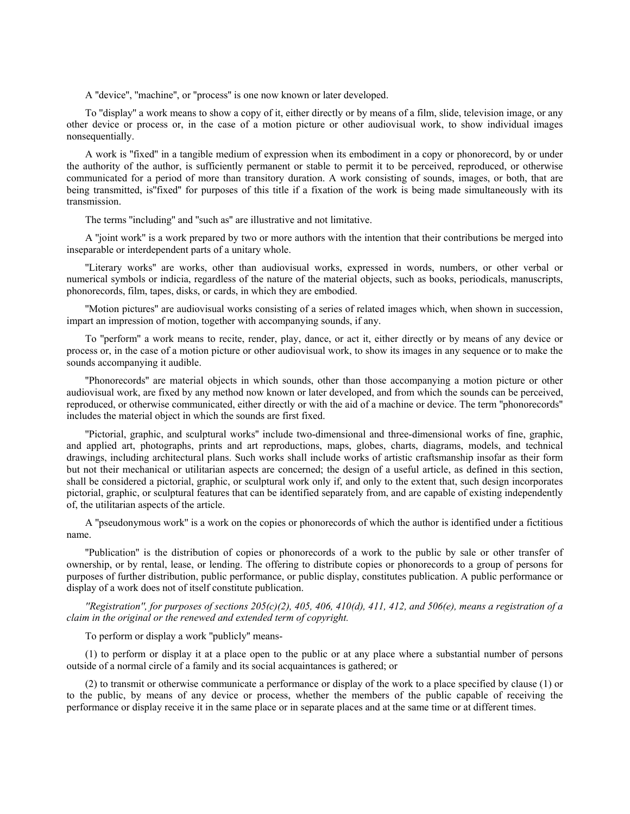A ''device'', ''machine'', or ''process'' is one now known or later developed.

To ''display'' a work means to show a copy of it, either directly or by means of a film, slide, television image, or any other device or process or, in the case of a motion picture or other audiovisual work, to show individual images nonsequentially.

A work is ''fixed'' in a tangible medium of expression when its embodiment in a copy or phonorecord, by or under the authority of the author, is sufficiently permanent or stable to permit it to be perceived, reproduced, or otherwise communicated for a period of more than transitory duration. A work consisting of sounds, images, or both, that are being transmitted, is''fixed'' for purposes of this title if a fixation of the work is being made simultaneously with its transmission.

The terms ''including'' and ''such as'' are illustrative and not limitative.

A ''joint work'' is a work prepared by two or more authors with the intention that their contributions be merged into inseparable or interdependent parts of a unitary whole.

''Literary works'' are works, other than audiovisual works, expressed in words, numbers, or other verbal or numerical symbols or indicia, regardless of the nature of the material objects, such as books, periodicals, manuscripts, phonorecords, film, tapes, disks, or cards, in which they are embodied.

''Motion pictures'' are audiovisual works consisting of a series of related images which, when shown in succession, impart an impression of motion, together with accompanying sounds, if any.

To ''perform'' a work means to recite, render, play, dance, or act it, either directly or by means of any device or process or, in the case of a motion picture or other audiovisual work, to show its images in any sequence or to make the sounds accompanying it audible.

''Phonorecords'' are material objects in which sounds, other than those accompanying a motion picture or other audiovisual work, are fixed by any method now known or later developed, and from which the sounds can be perceived, reproduced, or otherwise communicated, either directly or with the aid of a machine or device. The term ''phonorecords'' includes the material object in which the sounds are first fixed.

''Pictorial, graphic, and sculptural works'' include two-dimensional and three-dimensional works of fine, graphic, and applied art, photographs, prints and art reproductions, maps, globes, charts, diagrams, models, and technical drawings, including architectural plans. Such works shall include works of artistic craftsmanship insofar as their form but not their mechanical or utilitarian aspects are concerned; the design of a useful article, as defined in this section, shall be considered a pictorial, graphic, or sculptural work only if, and only to the extent that, such design incorporates pictorial, graphic, or sculptural features that can be identified separately from, and are capable of existing independently of, the utilitarian aspects of the article.

A ''pseudonymous work'' is a work on the copies or phonorecords of which the author is identified under a fictitious name.

''Publication'' is the distribution of copies or phonorecords of a work to the public by sale or other transfer of ownership, or by rental, lease, or lending. The offering to distribute copies or phonorecords to a group of persons for purposes of further distribution, public performance, or public display, constitutes publication. A public performance or display of a work does not of itself constitute publication.

*''Registration'', for purposes of sections 205(c)(2), 405, 406, 410(d), 411, 412, and 506(e), means a registration of a claim in the original or the renewed and extended term of copyright.*

To perform or display a work ''publicly'' means-

(1) to perform or display it at a place open to the public or at any place where a substantial number of persons outside of a normal circle of a family and its social acquaintances is gathered; or

(2) to transmit or otherwise communicate a performance or display of the work to a place specified by clause (1) or to the public, by means of any device or process, whether the members of the public capable of receiving the performance or display receive it in the same place or in separate places and at the same time or at different times.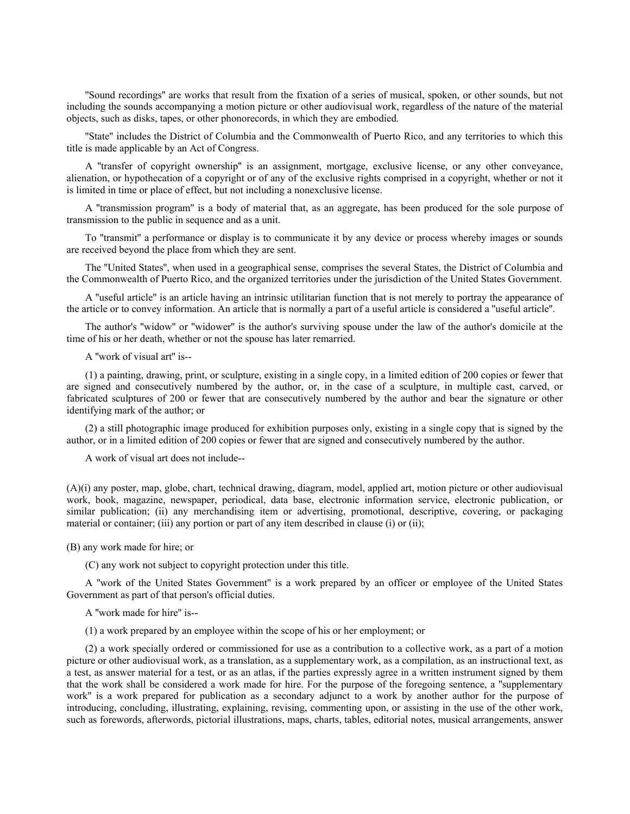''Sound recordings'' are works that result from the fixation of a series of musical, spoken, or other sounds, but not including the sounds accompanying a motion picture or other audiovisual work, regardless of the nature of the material objects, such as disks, tapes, or other phonorecords, in which they are embodied.

''State'' includes the District of Columbia and the Commonwealth of Puerto Rico, and any territories to which this title is made applicable by an Act of Congress.

A ''transfer of copyright ownership'' is an assignment, mortgage, exclusive license, or any other conveyance, alienation, or hypothecation of a copyright or of any of the exclusive rights comprised in a copyright, whether or not it is limited in time or place of effect, but not including a nonexclusive license.

A ''transmission program'' is a body of material that, as an aggregate, has been produced for the sole purpose of transmission to the public in sequence and as a unit.

To ''transmit'' a performance or display is to communicate it by any device or process whereby images or sounds are received beyond the place from which they are sent.

The ''United States'', when used in a geographical sense, comprises the several States, the District of Columbia and the Commonwealth of Puerto Rico, and the organized territories under the jurisdiction of the United States Government.

A ''useful article'' is an article having an intrinsic utilitarian function that is not merely to portray the appearance of the article or to convey information. An article that is normally a part of a useful article is considered a ''useful article''.

The author's ''widow'' or ''widower'' is the author's surviving spouse under the law of the author's domicile at the time of his or her death, whether or not the spouse has later remarried.

A ''work of visual art'' is--

(1) a painting, drawing, print, or sculpture, existing in a single copy, in a limited edition of 200 copies or fewer that are signed and consecutively numbered by the author, or, in the case of a sculpture, in multiple cast, carved, or fabricated sculptures of 200 or fewer that are consecutively numbered by the author and bear the signature or other identifying mark of the author; or

(2) a still photographic image produced for exhibition purposes only, existing in a single copy that is signed by the author, or in a limited edition of 200 copies or fewer that are signed and consecutively numbered by the author.

A work of visual art does not include--

(A)(i) any poster, map, globe, chart, technical drawing, diagram, model, applied art, motion picture or other audiovisual work, book, magazine, newspaper, periodical, data base, electronic information service, electronic publication, or similar publication; (ii) any merchandising item or advertising, promotional, descriptive, covering, or packaging material or container; (iii) any portion or part of any item described in clause (i) or (ii);

(B) any work made for hire; or

(C) any work not subject to copyright protection under this title.

A ''work of the United States Government'' is a work prepared by an officer or employee of the United States Government as part of that person's official duties.

A ''work made for hire'' is--

(1) a work prepared by an employee within the scope of his or her employment; or

(2) a work specially ordered or commissioned for use as a contribution to a collective work, as a part of a motion picture or other audiovisual work, as a translation, as a supplementary work, as a compilation, as an instructional text, as a test, as answer material for a test, or as an atlas, if the parties expressly agree in a written instrument signed by them that the work shall be considered a work made for hire. For the purpose of the foregoing sentence, a ''supplementary work'' is a work prepared for publication as a secondary adjunct to a work by another author for the purpose of introducing, concluding, illustrating, explaining, revising, commenting upon, or assisting in the use of the other work, such as forewords, afterwords, pictorial illustrations, maps, charts, tables, editorial notes, musical arrangements, answer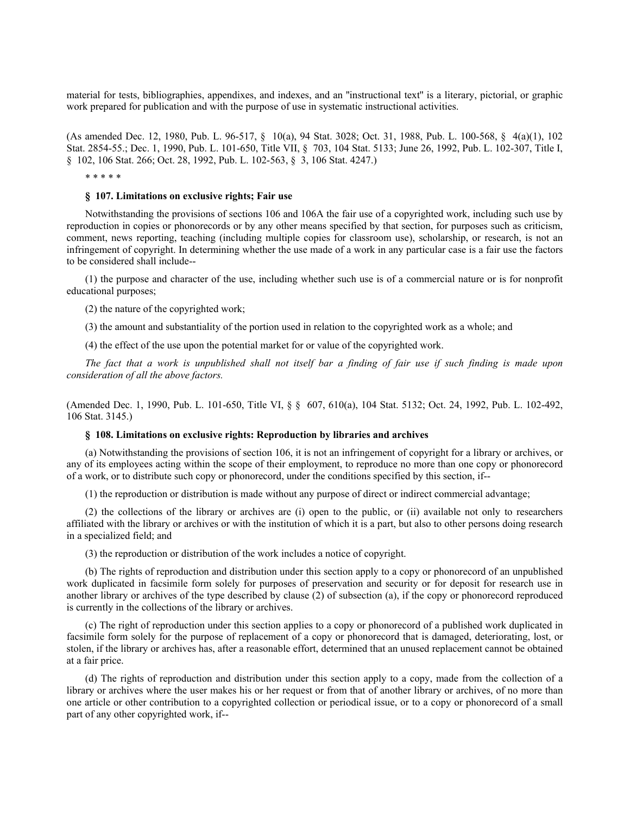material for tests, bibliographies, appendixes, and indexes, and an ''instructional text'' is a literary, pictorial, or graphic work prepared for publication and with the purpose of use in systematic instructional activities.

(As amended Dec. 12, 1980, Pub. L. 96-517, § 10(a), 94 Stat. 3028; Oct. 31, 1988, Pub. L. 100-568, § 4(a)(1), 102 Stat. 2854-55.; Dec. 1, 1990, Pub. L. 101-650, Title VII, § 703, 104 Stat. 5133; June 26, 1992, Pub. L. 102-307, Title I, § 102, 106 Stat. 266; Oct. 28, 1992, Pub. L. 102-563, § 3, 106 Stat. 4247.)

\* \* \* \* \*

#### **§ 107. Limitations on exclusive rights; Fair use**

Notwithstanding the provisions of sections 106 and 106A the fair use of a copyrighted work, including such use by reproduction in copies or phonorecords or by any other means specified by that section, for purposes such as criticism, comment, news reporting, teaching (including multiple copies for classroom use), scholarship, or research, is not an infringement of copyright. In determining whether the use made of a work in any particular case is a fair use the factors to be considered shall include--

(1) the purpose and character of the use, including whether such use is of a commercial nature or is for nonprofit educational purposes;

(2) the nature of the copyrighted work;

(3) the amount and substantiality of the portion used in relation to the copyrighted work as a whole; and

(4) the effect of the use upon the potential market for or value of the copyrighted work.

*The fact that a work is unpublished shall not itself bar a finding of fair use if such finding is made upon consideration of all the above factors.*

(Amended Dec. 1, 1990, Pub. L. 101-650, Title VI, § § 607, 610(a), 104 Stat. 5132; Oct. 24, 1992, Pub. L. 102-492, 106 Stat. 3145.)

## **§ 108. Limitations on exclusive rights: Reproduction by libraries and archives**

(a) Notwithstanding the provisions of section 106, it is not an infringement of copyright for a library or archives, or any of its employees acting within the scope of their employment, to reproduce no more than one copy or phonorecord of a work, or to distribute such copy or phonorecord, under the conditions specified by this section, if--

(1) the reproduction or distribution is made without any purpose of direct or indirect commercial advantage;

(2) the collections of the library or archives are (i) open to the public, or (ii) available not only to researchers affiliated with the library or archives or with the institution of which it is a part, but also to other persons doing research in a specialized field; and

(3) the reproduction or distribution of the work includes a notice of copyright.

(b) The rights of reproduction and distribution under this section apply to a copy or phonorecord of an unpublished work duplicated in facsimile form solely for purposes of preservation and security or for deposit for research use in another library or archives of the type described by clause (2) of subsection (a), if the copy or phonorecord reproduced is currently in the collections of the library or archives.

(c) The right of reproduction under this section applies to a copy or phonorecord of a published work duplicated in facsimile form solely for the purpose of replacement of a copy or phonorecord that is damaged, deteriorating, lost, or stolen, if the library or archives has, after a reasonable effort, determined that an unused replacement cannot be obtained at a fair price.

(d) The rights of reproduction and distribution under this section apply to a copy, made from the collection of a library or archives where the user makes his or her request or from that of another library or archives, of no more than one article or other contribution to a copyrighted collection or periodical issue, or to a copy or phonorecord of a small part of any other copyrighted work, if--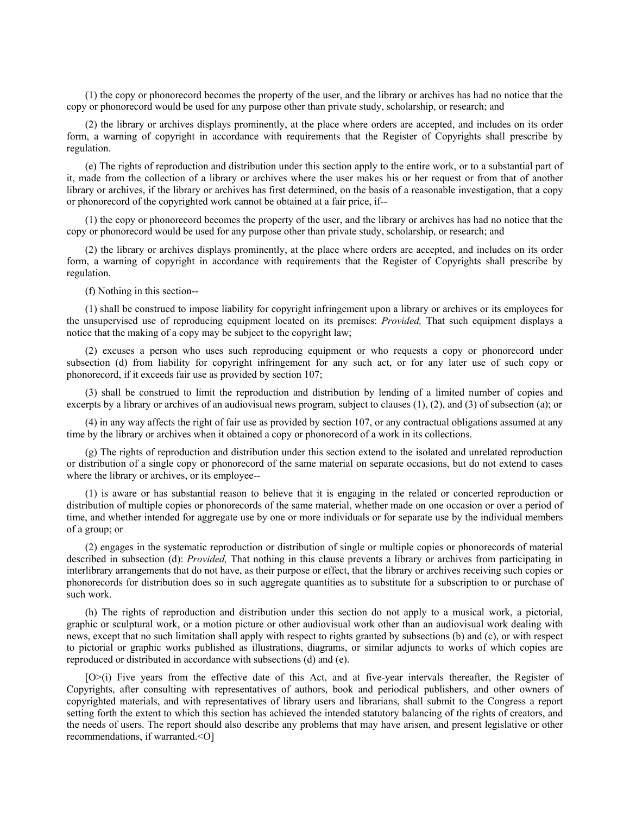(1) the copy or phonorecord becomes the property of the user, and the library or archives has had no notice that the copy or phonorecord would be used for any purpose other than private study, scholarship, or research; and

(2) the library or archives displays prominently, at the place where orders are accepted, and includes on its order form, a warning of copyright in accordance with requirements that the Register of Copyrights shall prescribe by regulation.

(e) The rights of reproduction and distribution under this section apply to the entire work, or to a substantial part of it, made from the collection of a library or archives where the user makes his or her request or from that of another library or archives, if the library or archives has first determined, on the basis of a reasonable investigation, that a copy or phonorecord of the copyrighted work cannot be obtained at a fair price, if--

(1) the copy or phonorecord becomes the property of the user, and the library or archives has had no notice that the copy or phonorecord would be used for any purpose other than private study, scholarship, or research; and

(2) the library or archives displays prominently, at the place where orders are accepted, and includes on its order form, a warning of copyright in accordance with requirements that the Register of Copyrights shall prescribe by regulation.

(f) Nothing in this section--

(1) shall be construed to impose liability for copyright infringement upon a library or archives or its employees for the unsupervised use of reproducing equipment located on its premises: *Provided,* That such equipment displays a notice that the making of a copy may be subject to the copyright law;

(2) excuses a person who uses such reproducing equipment or who requests a copy or phonorecord under subsection (d) from liability for copyright infringement for any such act, or for any later use of such copy or phonorecord, if it exceeds fair use as provided by section 107;

(3) shall be construed to limit the reproduction and distribution by lending of a limited number of copies and excerpts by a library or archives of an audiovisual news program, subject to clauses  $(1)$ ,  $(2)$ , and  $(3)$  of subsection (a); or

(4) in any way affects the right of fair use as provided by section 107, or any contractual obligations assumed at any time by the library or archives when it obtained a copy or phonorecord of a work in its collections.

(g) The rights of reproduction and distribution under this section extend to the isolated and unrelated reproduction or distribution of a single copy or phonorecord of the same material on separate occasions, but do not extend to cases where the library or archives, or its employee--

(1) is aware or has substantial reason to believe that it is engaging in the related or concerted reproduction or distribution of multiple copies or phonorecords of the same material, whether made on one occasion or over a period of time, and whether intended for aggregate use by one or more individuals or for separate use by the individual members of a group; or

(2) engages in the systematic reproduction or distribution of single or multiple copies or phonorecords of material described in subsection (d): *Provided,* That nothing in this clause prevents a library or archives from participating in interlibrary arrangements that do not have, as their purpose or effect, that the library or archives receiving such copies or phonorecords for distribution does so in such aggregate quantities as to substitute for a subscription to or purchase of such work.

(h) The rights of reproduction and distribution under this section do not apply to a musical work, a pictorial, graphic or sculptural work, or a motion picture or other audiovisual work other than an audiovisual work dealing with news, except that no such limitation shall apply with respect to rights granted by subsections (b) and (c), or with respect to pictorial or graphic works published as illustrations, diagrams, or similar adjuncts to works of which copies are reproduced or distributed in accordance with subsections (d) and (e).

[O>(i) Five years from the effective date of this Act, and at five-year intervals thereafter, the Register of Copyrights, after consulting with representatives of authors, book and periodical publishers, and other owners of copyrighted materials, and with representatives of library users and librarians, shall submit to the Congress a report setting forth the extent to which this section has achieved the intended statutory balancing of the rights of creators, and the needs of users. The report should also describe any problems that may have arisen, and present legislative or other recommendations, if warranted.<O]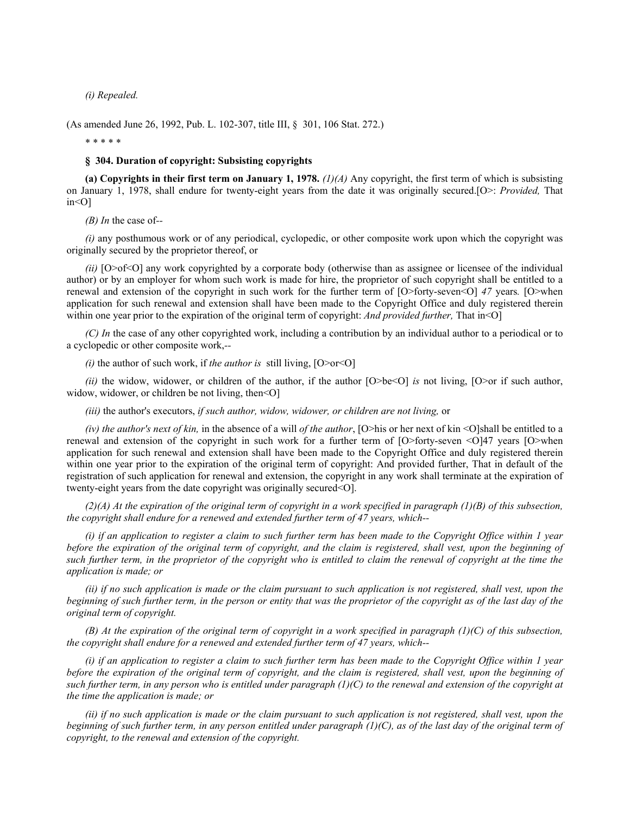## *(i) Repealed.*

(As amended June 26, 1992, Pub. L. 102-307, title III, § 301, 106 Stat. 272.)

\* \* \* \* \*

# **§ 304. Duration of copyright: Subsisting copyrights**

**(a) Copyrights in their first term on January 1, 1978.**  $(I)(A)$  Any copyright, the first term of which is subsisting on January 1, 1978, shall endure for twenty-eight years from the date it was originally secured.[O>: *Provided,* That  $in < 0$ ]

*(B) In* the case of*--*

*(i)* any posthumous work or of any periodical, cyclopedic, or other composite work upon which the copyright was originally secured by the proprietor thereof, or

*(ii)* [O>of<O] any work copyrighted by a corporate body (otherwise than as assignee or licensee of the individual author) or by an employer for whom such work is made for hire, the proprietor of such copyright shall be entitled to a renewal and extension of the copyright in such work for the further term of [O>forty-seven<O] *47* years*.* [O>when application for such renewal and extension shall have been made to the Copyright Office and duly registered therein within one year prior to the expiration of the original term of copyright: *And provided further*, That in < O

*(C) In* the case of any other copyrighted work, including a contribution by an individual author to a periodical or to a cyclopedic or other composite work,*--*

*(i)* the author of such work, if *the author is* still living, [O>or<O]

*(ii)* the widow, widower, or children of the author, if the author  $[O > be < 0]$  *is* not living,  $[O > or$  if such author, widow, widower, or children be not living, then < O]

*(iii)* the author's executors, *if such author, widow, widower, or children are not living,* or

*(iv) the author's next of kin,* in the absence of a will *of the author*, [O>his or her next of kin <O]shall be entitled to a renewal and extension of the copyright in such work for a further term of [O>forty-seven <O]47 years [O>when application for such renewal and extension shall have been made to the Copyright Office and duly registered therein within one year prior to the expiration of the original term of copyright: And provided further, That in default of the registration of such application for renewal and extension, the copyright in any work shall terminate at the expiration of twenty-eight years from the date copyright was originally secured<O].

 $(2)(A)$  At the expiration of the original term of copyright in a work specified in paragraph  $(1)(B)$  of this subsection, *the copyright shall endure for a renewed and extended further term of 47 years, which--*

*(i) if an application to register a claim to such further term has been made to the Copyright Office within 1 year before the expiration of the original term of copyright, and the claim is registered, shall vest, upon the beginning of* such further term, in the proprietor of the copyright who is entitled to claim the renewal of copyright at the time the *application is made; or*

*(ii) if no such application is made or the claim pursuant to such application is not registered, shall vest, upon the beginning of such further term, in the person or entity that was the proprietor of the copyright as of the last day of the original term of copyright.*

*(B) At the expiration of the original term of copyright in a work specified in paragraph (1)(C) of this subsection, the copyright shall endure for a renewed and extended further term of 47 years, which--*

*(i) if an application to register a claim to such further term has been made to the Copyright Office within 1 year before the expiration of the original term of copyright, and the claim is registered, shall vest, upon the beginning of such further term, in any person who is entitled under paragraph (1)(C) to the renewal and extension of the copyright at the time the application is made; or*

*(ii) if no such application is made or the claim pursuant to such application is not registered, shall vest, upon the beginning of such further term, in any person entitled under paragraph (1)(C), as of the last day of the original term of copyright, to the renewal and extension of the copyright.*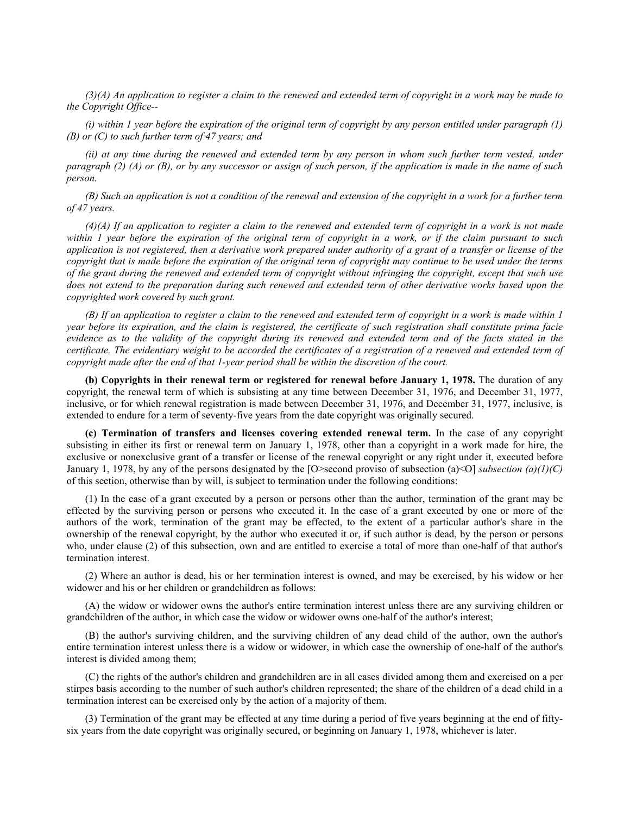*(3)(A) An application to register a claim to the renewed and extended term of copyright in a work may be made to the Copyright Office--*

*(i) within 1 year before the expiration of the original term of copyright by any person entitled under paragraph (1) (B) or (C) to such further term of 47 years; and*

*(ii) at any time during the renewed and extended term by any person in whom such further term vested, under paragraph (2) (A) or (B), or by any successor or assign of such person, if the application is made in the name of such person.*

*(B) Such an application is not a condition of the renewal and extension of the copyright in a work for a further term of 47 years.*

*(4)(A) If an application to register a claim to the renewed and extended term of copyright in a work is not made within 1 year before the expiration of the original term of copyright in a work, or if the claim pursuant to such application is not registered, then a derivative work prepared under authority of a grant of a transfer or license of the copyright that is made before the expiration of the original term of copyright may continue to be used under the terms of the grant during the renewed and extended term of copyright without infringing the copyright, except that such use*  does not extend to the preparation during such renewed and extended term of other derivative works based upon the *copyrighted work covered by such grant.*

*(B) If an application to register a claim to the renewed and extended term of copyright in a work is made within 1 year before its expiration, and the claim is registered, the certificate of such registration shall constitute prima facie evidence as to the validity of the copyright during its renewed and extended term and of the facts stated in the certificate. The evidentiary weight to be accorded the certificates of a registration of a renewed and extended term of copyright made after the end of that 1-year period shall be within the discretion of the court.*

**(b) Copyrights in their renewal term or registered for renewal before January 1, 1978.** The duration of any copyright, the renewal term of which is subsisting at any time between December 31, 1976, and December 31, 1977, inclusive, or for which renewal registration is made between December 31, 1976, and December 31, 1977, inclusive, is extended to endure for a term of seventy-five years from the date copyright was originally secured.

**(c) Termination of transfers and licenses covering extended renewal term.** In the case of any copyright subsisting in either its first or renewal term on January 1, 1978, other than a copyright in a work made for hire, the exclusive or nonexclusive grant of a transfer or license of the renewal copyright or any right under it, executed before January 1, 1978, by any of the persons designated by the  $[O \ge$ second proviso of subsection (a)< $O$ ] *subsection (a)(1)(C)* of this section, otherwise than by will, is subject to termination under the following conditions:

(1) In the case of a grant executed by a person or persons other than the author, termination of the grant may be effected by the surviving person or persons who executed it. In the case of a grant executed by one or more of the authors of the work, termination of the grant may be effected, to the extent of a particular author's share in the ownership of the renewal copyright, by the author who executed it or, if such author is dead, by the person or persons who, under clause (2) of this subsection, own and are entitled to exercise a total of more than one-half of that author's termination interest.

(2) Where an author is dead, his or her termination interest is owned, and may be exercised, by his widow or her widower and his or her children or grandchildren as follows:

(A) the widow or widower owns the author's entire termination interest unless there are any surviving children or grandchildren of the author, in which case the widow or widower owns one-half of the author's interest;

(B) the author's surviving children, and the surviving children of any dead child of the author, own the author's entire termination interest unless there is a widow or widower, in which case the ownership of one-half of the author's interest is divided among them;

(C) the rights of the author's children and grandchildren are in all cases divided among them and exercised on a per stirpes basis according to the number of such author's children represented; the share of the children of a dead child in a termination interest can be exercised only by the action of a majority of them.

(3) Termination of the grant may be effected at any time during a period of five years beginning at the end of fiftysix years from the date copyright was originally secured, or beginning on January 1, 1978, whichever is later.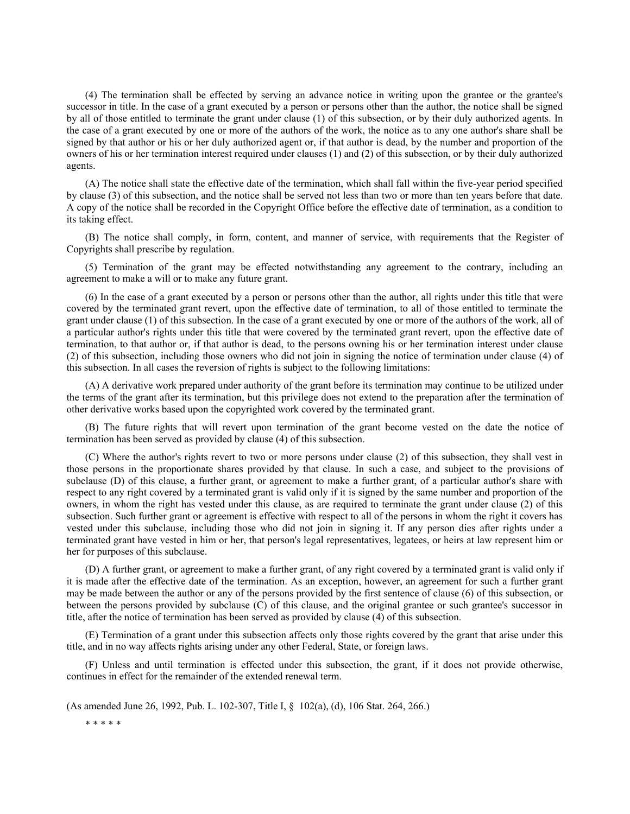(4) The termination shall be effected by serving an advance notice in writing upon the grantee or the grantee's successor in title. In the case of a grant executed by a person or persons other than the author, the notice shall be signed by all of those entitled to terminate the grant under clause (1) of this subsection, or by their duly authorized agents. In the case of a grant executed by one or more of the authors of the work, the notice as to any one author's share shall be signed by that author or his or her duly authorized agent or, if that author is dead, by the number and proportion of the owners of his or her termination interest required under clauses (1) and (2) of this subsection, or by their duly authorized agents.

(A) The notice shall state the effective date of the termination, which shall fall within the five-year period specified by clause (3) of this subsection, and the notice shall be served not less than two or more than ten years before that date. A copy of the notice shall be recorded in the Copyright Office before the effective date of termination, as a condition to its taking effect.

(B) The notice shall comply, in form, content, and manner of service, with requirements that the Register of Copyrights shall prescribe by regulation.

(5) Termination of the grant may be effected notwithstanding any agreement to the contrary, including an agreement to make a will or to make any future grant.

(6) In the case of a grant executed by a person or persons other than the author, all rights under this title that were covered by the terminated grant revert, upon the effective date of termination, to all of those entitled to terminate the grant under clause (1) of this subsection. In the case of a grant executed by one or more of the authors of the work, all of a particular author's rights under this title that were covered by the terminated grant revert, upon the effective date of termination, to that author or, if that author is dead, to the persons owning his or her termination interest under clause (2) of this subsection, including those owners who did not join in signing the notice of termination under clause (4) of this subsection. In all cases the reversion of rights is subject to the following limitations:

(A) A derivative work prepared under authority of the grant before its termination may continue to be utilized under the terms of the grant after its termination, but this privilege does not extend to the preparation after the termination of other derivative works based upon the copyrighted work covered by the terminated grant.

(B) The future rights that will revert upon termination of the grant become vested on the date the notice of termination has been served as provided by clause (4) of this subsection.

(C) Where the author's rights revert to two or more persons under clause (2) of this subsection, they shall vest in those persons in the proportionate shares provided by that clause. In such a case, and subject to the provisions of subclause (D) of this clause, a further grant, or agreement to make a further grant, of a particular author's share with respect to any right covered by a terminated grant is valid only if it is signed by the same number and proportion of the owners, in whom the right has vested under this clause, as are required to terminate the grant under clause (2) of this subsection. Such further grant or agreement is effective with respect to all of the persons in whom the right it covers has vested under this subclause, including those who did not join in signing it. If any person dies after rights under a terminated grant have vested in him or her, that person's legal representatives, legatees, or heirs at law represent him or her for purposes of this subclause.

(D) A further grant, or agreement to make a further grant, of any right covered by a terminated grant is valid only if it is made after the effective date of the termination. As an exception, however, an agreement for such a further grant may be made between the author or any of the persons provided by the first sentence of clause (6) of this subsection, or between the persons provided by subclause (C) of this clause, and the original grantee or such grantee's successor in title, after the notice of termination has been served as provided by clause (4) of this subsection.

(E) Termination of a grant under this subsection affects only those rights covered by the grant that arise under this title, and in no way affects rights arising under any other Federal, State, or foreign laws.

(F) Unless and until termination is effected under this subsection, the grant, if it does not provide otherwise, continues in effect for the remainder of the extended renewal term.

(As amended June 26, 1992, Pub. L. 102-307, Title I, § 102(a), (d), 106 Stat. 264, 266.)

\* \* \* \* \*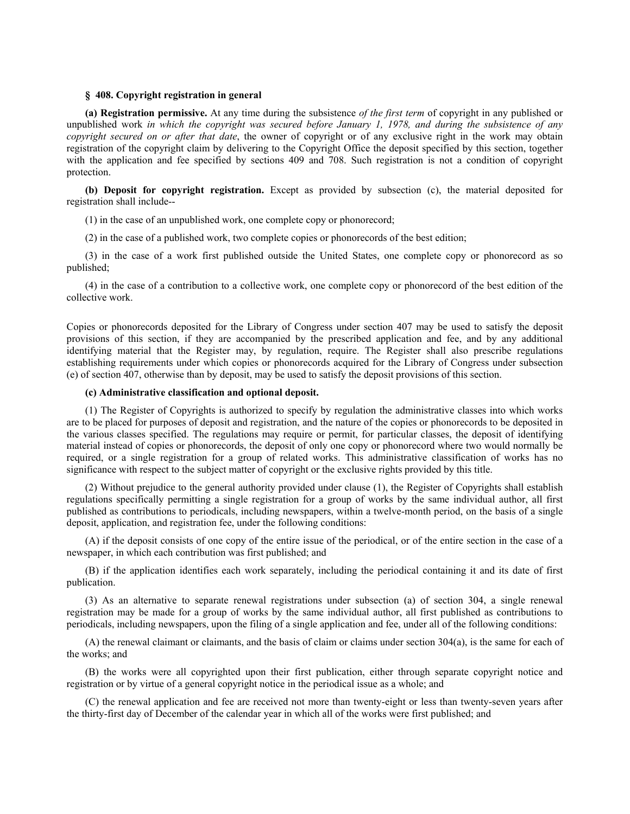# **§ 408. Copyright registration in general**

**(a) Registration permissive.** At any time during the subsistence *of the first term* of copyright in any published or unpublished work *in which the copyright was secured before January 1, 1978, and during the subsistence of any copyright secured on or after that date*, the owner of copyright or of any exclusive right in the work may obtain registration of the copyright claim by delivering to the Copyright Office the deposit specified by this section, together with the application and fee specified by sections 409 and 708. Such registration is not a condition of copyright protection.

**(b) Deposit for copyright registration.** Except as provided by subsection (c), the material deposited for registration shall include--

(1) in the case of an unpublished work, one complete copy or phonorecord;

(2) in the case of a published work, two complete copies or phonorecords of the best edition;

(3) in the case of a work first published outside the United States, one complete copy or phonorecord as so published;

(4) in the case of a contribution to a collective work, one complete copy or phonorecord of the best edition of the collective work.

Copies or phonorecords deposited for the Library of Congress under section 407 may be used to satisfy the deposit provisions of this section, if they are accompanied by the prescribed application and fee, and by any additional identifying material that the Register may, by regulation, require. The Register shall also prescribe regulations establishing requirements under which copies or phonorecords acquired for the Library of Congress under subsection (e) of section 407, otherwise than by deposit, may be used to satisfy the deposit provisions of this section.

#### **(c) Administrative classification and optional deposit.**

(1) The Register of Copyrights is authorized to specify by regulation the administrative classes into which works are to be placed for purposes of deposit and registration, and the nature of the copies or phonorecords to be deposited in the various classes specified. The regulations may require or permit, for particular classes, the deposit of identifying material instead of copies or phonorecords, the deposit of only one copy or phonorecord where two would normally be required, or a single registration for a group of related works. This administrative classification of works has no significance with respect to the subject matter of copyright or the exclusive rights provided by this title.

(2) Without prejudice to the general authority provided under clause (1), the Register of Copyrights shall establish regulations specifically permitting a single registration for a group of works by the same individual author, all first published as contributions to periodicals, including newspapers, within a twelve-month period, on the basis of a single deposit, application, and registration fee, under the following conditions:

(A) if the deposit consists of one copy of the entire issue of the periodical, or of the entire section in the case of a newspaper, in which each contribution was first published; and

(B) if the application identifies each work separately, including the periodical containing it and its date of first publication.

(3) As an alternative to separate renewal registrations under subsection (a) of section 304, a single renewal registration may be made for a group of works by the same individual author, all first published as contributions to periodicals, including newspapers, upon the filing of a single application and fee, under all of the following conditions:

(A) the renewal claimant or claimants, and the basis of claim or claims under section 304(a), is the same for each of the works; and

(B) the works were all copyrighted upon their first publication, either through separate copyright notice and registration or by virtue of a general copyright notice in the periodical issue as a whole; and

(C) the renewal application and fee are received not more than twenty-eight or less than twenty-seven years after the thirty-first day of December of the calendar year in which all of the works were first published; and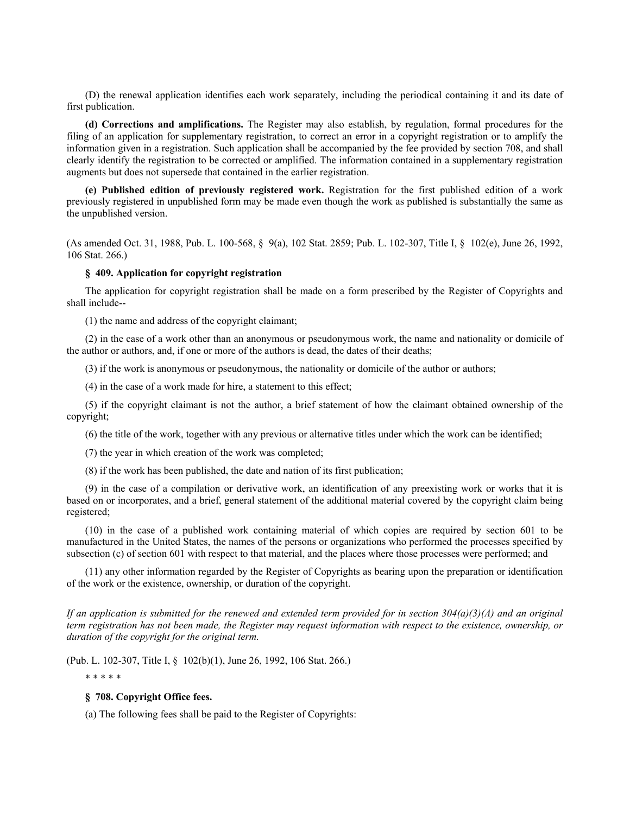(D) the renewal application identifies each work separately, including the periodical containing it and its date of first publication.

**(d) Corrections and amplifications.** The Register may also establish, by regulation, formal procedures for the filing of an application for supplementary registration, to correct an error in a copyright registration or to amplify the information given in a registration. Such application shall be accompanied by the fee provided by section 708, and shall clearly identify the registration to be corrected or amplified. The information contained in a supplementary registration augments but does not supersede that contained in the earlier registration.

**(e) Published edition of previously registered work.** Registration for the first published edition of a work previously registered in unpublished form may be made even though the work as published is substantially the same as the unpublished version.

(As amended Oct. 31, 1988, Pub. L. 100-568, § 9(a), 102 Stat. 2859; Pub. L. 102-307, Title I, § 102(e), June 26, 1992, 106 Stat. 266.)

#### **§ 409. Application for copyright registration**

The application for copyright registration shall be made on a form prescribed by the Register of Copyrights and shall include--

(1) the name and address of the copyright claimant;

(2) in the case of a work other than an anonymous or pseudonymous work, the name and nationality or domicile of the author or authors, and, if one or more of the authors is dead, the dates of their deaths;

(3) if the work is anonymous or pseudonymous, the nationality or domicile of the author or authors;

(4) in the case of a work made for hire, a statement to this effect;

(5) if the copyright claimant is not the author, a brief statement of how the claimant obtained ownership of the copyright;

(6) the title of the work, together with any previous or alternative titles under which the work can be identified;

(7) the year in which creation of the work was completed;

(8) if the work has been published, the date and nation of its first publication;

(9) in the case of a compilation or derivative work, an identification of any preexisting work or works that it is based on or incorporates, and a brief, general statement of the additional material covered by the copyright claim being registered;

(10) in the case of a published work containing material of which copies are required by section 601 to be manufactured in the United States, the names of the persons or organizations who performed the processes specified by subsection (c) of section 601 with respect to that material, and the places where those processes were performed; and

(11) any other information regarded by the Register of Copyrights as bearing upon the preparation or identification of the work or the existence, ownership, or duration of the copyright.

*If an application is submitted for the renewed and extended term provided for in section 304(a)(3)(A) and an original term registration has not been made, the Register may request information with respect to the existence, ownership, or duration of the copyright for the original term.*

(Pub. L. 102-307, Title I, § 102(b)(1), June 26, 1992, 106 Stat. 266.)

\* \* \* \* \*

## **§ 708. Copyright Office fees.**

(a) The following fees shall be paid to the Register of Copyrights: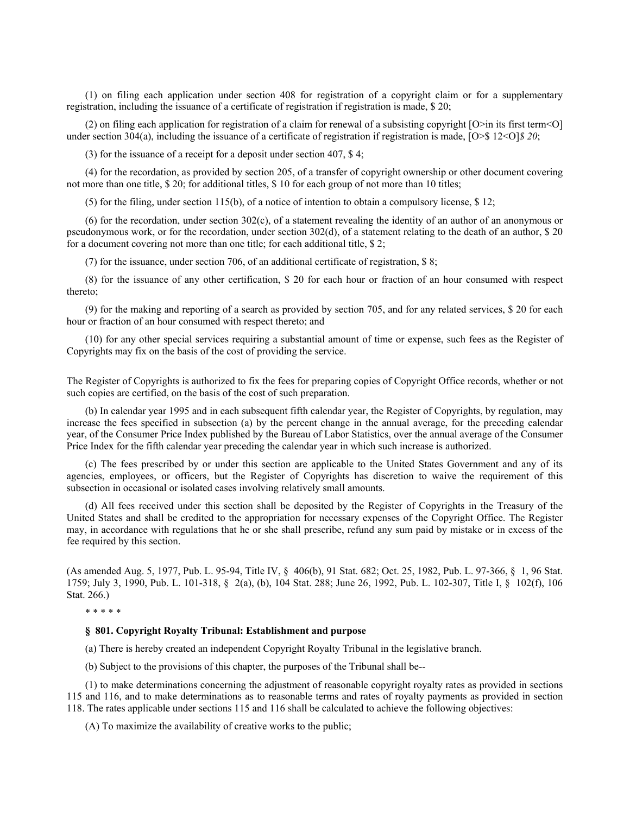(1) on filing each application under section 408 for registration of a copyright claim or for a supplementary registration, including the issuance of a certificate of registration if registration is made, \$ 20;

(2) on filing each application for registration of a claim for renewal of a subsisting copyright  $[O>$ in its first term  $\leq O$ ] under section 304(a), including the issuance of a certificate of registration if registration is made, [O>\$ 12<O]*\$ 20*;

(3) for the issuance of a receipt for a deposit under section 407, \$ 4;

(4) for the recordation, as provided by section 205, of a transfer of copyright ownership or other document covering not more than one title, \$ 20; for additional titles, \$ 10 for each group of not more than 10 titles;

(5) for the filing, under section 115(b), of a notice of intention to obtain a compulsory license, \$ 12;

(6) for the recordation, under section 302(c), of a statement revealing the identity of an author of an anonymous or pseudonymous work, or for the recordation, under section 302(d), of a statement relating to the death of an author, \$ 20 for a document covering not more than one title; for each additional title, \$ 2;

(7) for the issuance, under section 706, of an additional certificate of registration, \$ 8;

(8) for the issuance of any other certification, \$ 20 for each hour or fraction of an hour consumed with respect thereto;

(9) for the making and reporting of a search as provided by section 705, and for any related services, \$ 20 for each hour or fraction of an hour consumed with respect thereto; and

(10) for any other special services requiring a substantial amount of time or expense, such fees as the Register of Copyrights may fix on the basis of the cost of providing the service.

The Register of Copyrights is authorized to fix the fees for preparing copies of Copyright Office records, whether or not such copies are certified, on the basis of the cost of such preparation.

(b) In calendar year 1995 and in each subsequent fifth calendar year, the Register of Copyrights, by regulation, may increase the fees specified in subsection (a) by the percent change in the annual average, for the preceding calendar year, of the Consumer Price Index published by the Bureau of Labor Statistics, over the annual average of the Consumer Price Index for the fifth calendar year preceding the calendar year in which such increase is authorized.

(c) The fees prescribed by or under this section are applicable to the United States Government and any of its agencies, employees, or officers, but the Register of Copyrights has discretion to waive the requirement of this subsection in occasional or isolated cases involving relatively small amounts.

(d) All fees received under this section shall be deposited by the Register of Copyrights in the Treasury of the United States and shall be credited to the appropriation for necessary expenses of the Copyright Office. The Register may, in accordance with regulations that he or she shall prescribe, refund any sum paid by mistake or in excess of the fee required by this section.

(As amended Aug. 5, 1977, Pub. L. 95-94, Title IV, § 406(b), 91 Stat. 682; Oct. 25, 1982, Pub. L. 97-366, § 1, 96 Stat. 1759; July 3, 1990, Pub. L. 101-318, § 2(a), (b), 104 Stat. 288; June 26, 1992, Pub. L. 102-307, Title I, § 102(f), 106 Stat. 266.)

## \* \* \* \* \*

# **§ 801. Copyright Royalty Tribunal: Establishment and purpose**

(a) There is hereby created an independent Copyright Royalty Tribunal in the legislative branch.

(b) Subject to the provisions of this chapter, the purposes of the Tribunal shall be--

(1) to make determinations concerning the adjustment of reasonable copyright royalty rates as provided in sections 115 and 116, and to make determinations as to reasonable terms and rates of royalty payments as provided in section 118. The rates applicable under sections 115 and 116 shall be calculated to achieve the following objectives:

(A) To maximize the availability of creative works to the public;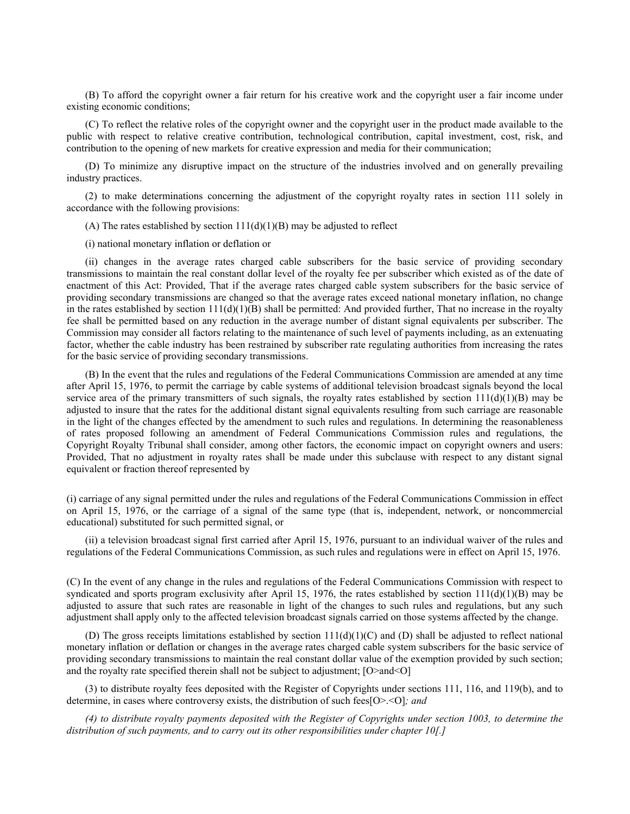(B) To afford the copyright owner a fair return for his creative work and the copyright user a fair income under existing economic conditions;

(C) To reflect the relative roles of the copyright owner and the copyright user in the product made available to the public with respect to relative creative contribution, technological contribution, capital investment, cost, risk, and contribution to the opening of new markets for creative expression and media for their communication;

(D) To minimize any disruptive impact on the structure of the industries involved and on generally prevailing industry practices.

(2) to make determinations concerning the adjustment of the copyright royalty rates in section 111 solely in accordance with the following provisions:

(A) The rates established by section  $111(d)(1)(B)$  may be adjusted to reflect

(i) national monetary inflation or deflation or

(ii) changes in the average rates charged cable subscribers for the basic service of providing secondary transmissions to maintain the real constant dollar level of the royalty fee per subscriber which existed as of the date of enactment of this Act: Provided, That if the average rates charged cable system subscribers for the basic service of providing secondary transmissions are changed so that the average rates exceed national monetary inflation, no change in the rates established by section  $111(d)(1)(B)$  shall be permitted: And provided further, That no increase in the royalty fee shall be permitted based on any reduction in the average number of distant signal equivalents per subscriber. The Commission may consider all factors relating to the maintenance of such level of payments including, as an extenuating factor, whether the cable industry has been restrained by subscriber rate regulating authorities from increasing the rates for the basic service of providing secondary transmissions.

(B) In the event that the rules and regulations of the Federal Communications Commission are amended at any time after April 15, 1976, to permit the carriage by cable systems of additional television broadcast signals beyond the local service area of the primary transmitters of such signals, the royalty rates established by section  $111(d)(1)(B)$  may be adjusted to insure that the rates for the additional distant signal equivalents resulting from such carriage are reasonable in the light of the changes effected by the amendment to such rules and regulations. In determining the reasonableness of rates proposed following an amendment of Federal Communications Commission rules and regulations, the Copyright Royalty Tribunal shall consider, among other factors, the economic impact on copyright owners and users: Provided, That no adjustment in royalty rates shall be made under this subclause with respect to any distant signal equivalent or fraction thereof represented by

(i) carriage of any signal permitted under the rules and regulations of the Federal Communications Commission in effect on April 15, 1976, or the carriage of a signal of the same type (that is, independent, network, or noncommercial educational) substituted for such permitted signal, or

(ii) a television broadcast signal first carried after April 15, 1976, pursuant to an individual waiver of the rules and regulations of the Federal Communications Commission, as such rules and regulations were in effect on April 15, 1976.

(C) In the event of any change in the rules and regulations of the Federal Communications Commission with respect to syndicated and sports program exclusivity after April 15, 1976, the rates established by section  $111(d)(1)(B)$  may be adjusted to assure that such rates are reasonable in light of the changes to such rules and regulations, but any such adjustment shall apply only to the affected television broadcast signals carried on those systems affected by the change.

(D) The gross receipts limitations established by section  $111(d)(1)(C)$  and (D) shall be adjusted to reflect national monetary inflation or deflation or changes in the average rates charged cable system subscribers for the basic service of providing secondary transmissions to maintain the real constant dollar value of the exemption provided by such section; and the royalty rate specified therein shall not be subject to adjustment; [O>and<O]

(3) to distribute royalty fees deposited with the Register of Copyrights under sections 111, 116, and 119(b), and to determine, in cases where controversy exists, the distribution of such fees[O>.<O]*; and*

*(4) to distribute royalty payments deposited with the Register of Copyrights under section 1003, to determine the distribution of such payments, and to carry out its other responsibilities under chapter 10[.]*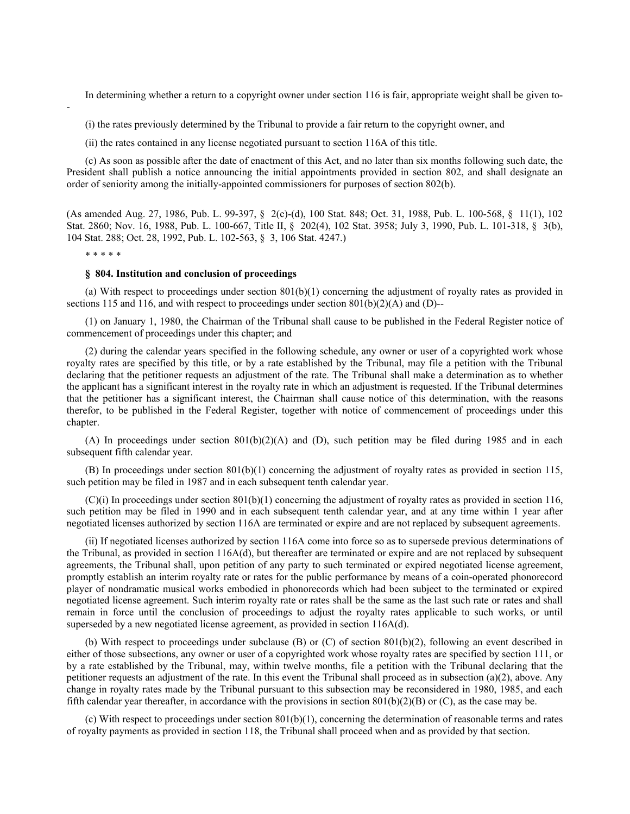In determining whether a return to a copyright owner under section 116 is fair, appropriate weight shall be given to-

(i) the rates previously determined by the Tribunal to provide a fair return to the copyright owner, and

(ii) the rates contained in any license negotiated pursuant to section 116A of this title.

(c) As soon as possible after the date of enactment of this Act, and no later than six months following such date, the President shall publish a notice announcing the initial appointments provided in section 802, and shall designate an order of seniority among the initially-appointed commissioners for purposes of section 802(b).

(As amended Aug. 27, 1986, Pub. L. 99-397, § 2(c)-(d), 100 Stat. 848; Oct. 31, 1988, Pub. L. 100-568, § 11(1), 102 Stat. 2860; Nov. 16, 1988, Pub. L. 100-667, Title II, § 202(4), 102 Stat. 3958; July 3, 1990, Pub. L. 101-318, § 3(b), 104 Stat. 288; Oct. 28, 1992, Pub. L. 102-563, § 3, 106 Stat. 4247.)

\* \* \* \* \*

-

#### **§ 804. Institution and conclusion of proceedings**

(a) With respect to proceedings under section  $801(b)(1)$  concerning the adjustment of royalty rates as provided in sections 115 and 116, and with respect to proceedings under section  $801(b)(2)(A)$  and  $(D)$ --

(1) on January 1, 1980, the Chairman of the Tribunal shall cause to be published in the Federal Register notice of commencement of proceedings under this chapter; and

(2) during the calendar years specified in the following schedule, any owner or user of a copyrighted work whose royalty rates are specified by this title, or by a rate established by the Tribunal, may file a petition with the Tribunal declaring that the petitioner requests an adjustment of the rate. The Tribunal shall make a determination as to whether the applicant has a significant interest in the royalty rate in which an adjustment is requested. If the Tribunal determines that the petitioner has a significant interest, the Chairman shall cause notice of this determination, with the reasons therefor, to be published in the Federal Register, together with notice of commencement of proceedings under this chapter.

(A) In proceedings under section  $801(b)(2)(A)$  and (D), such petition may be filed during 1985 and in each subsequent fifth calendar year.

(B) In proceedings under section 801(b)(1) concerning the adjustment of royalty rates as provided in section 115, such petition may be filed in 1987 and in each subsequent tenth calendar year.

 $(C)(i)$  In proceedings under section 801(b)(1) concerning the adjustment of royalty rates as provided in section 116, such petition may be filed in 1990 and in each subsequent tenth calendar year, and at any time within 1 year after negotiated licenses authorized by section 116A are terminated or expire and are not replaced by subsequent agreements.

(ii) If negotiated licenses authorized by section 116A come into force so as to supersede previous determinations of the Tribunal, as provided in section  $116A(d)$ , but thereafter are terminated or expire and are not replaced by subsequent agreements, the Tribunal shall, upon petition of any party to such terminated or expired negotiated license agreement, promptly establish an interim royalty rate or rates for the public performance by means of a coin-operated phonorecord player of nondramatic musical works embodied in phonorecords which had been subject to the terminated or expired negotiated license agreement. Such interim royalty rate or rates shall be the same as the last such rate or rates and shall remain in force until the conclusion of proceedings to adjust the royalty rates applicable to such works, or until superseded by a new negotiated license agreement, as provided in section 116A(d).

(b) With respect to proceedings under subclause (B) or (C) of section 801(b)(2), following an event described in either of those subsections, any owner or user of a copyrighted work whose royalty rates are specified by section 111, or by a rate established by the Tribunal, may, within twelve months, file a petition with the Tribunal declaring that the petitioner requests an adjustment of the rate. In this event the Tribunal shall proceed as in subsection (a)(2), above. Any change in royalty rates made by the Tribunal pursuant to this subsection may be reconsidered in 1980, 1985, and each fifth calendar year thereafter, in accordance with the provisions in section  $801(b)(2)(B)$  or (C), as the case may be.

(c) With respect to proceedings under section 801(b)(1), concerning the determination of reasonable terms and rates of royalty payments as provided in section 118, the Tribunal shall proceed when and as provided by that section.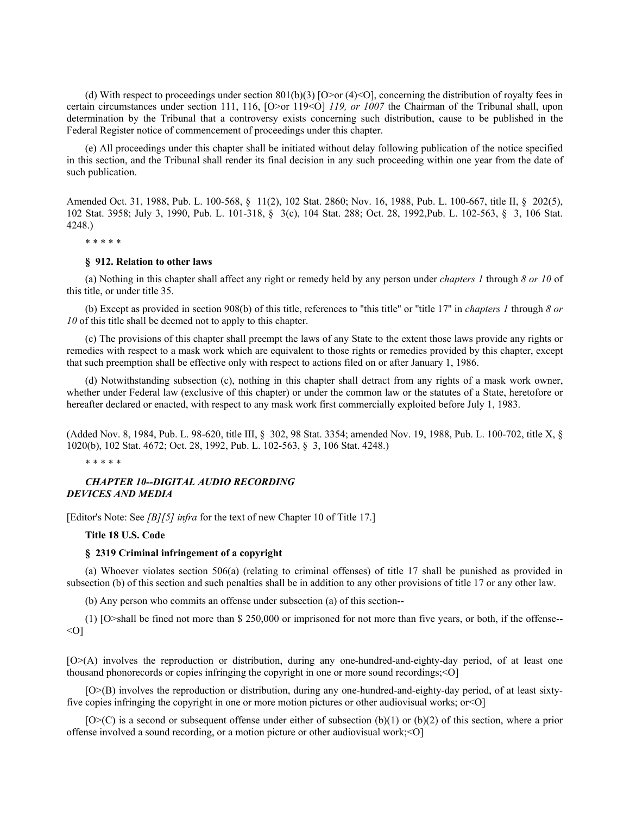(d) With respect to proceedings under section 801(b)(3) [O>or (4)<O], concerning the distribution of royalty fees in certain circumstances under section 111, 116, [O>or 119<O] *119, or 1007* the Chairman of the Tribunal shall, upon determination by the Tribunal that a controversy exists concerning such distribution, cause to be published in the Federal Register notice of commencement of proceedings under this chapter.

(e) All proceedings under this chapter shall be initiated without delay following publication of the notice specified in this section, and the Tribunal shall render its final decision in any such proceeding within one year from the date of such publication.

Amended Oct. 31, 1988, Pub. L. 100-568, § 11(2), 102 Stat. 2860; Nov. 16, 1988, Pub. L. 100-667, title II, § 202(5), 102 Stat. 3958; July 3, 1990, Pub. L. 101-318, § 3(c), 104 Stat. 288; Oct. 28, 1992,Pub. L. 102-563, § 3, 106 Stat. 4248.)

\* \* \* \* \*

### **§ 912. Relation to other laws**

(a) Nothing in this chapter shall affect any right or remedy held by any person under *chapters 1* through *8 or 10* of this title, or under title 35.

(b) Except as provided in section 908(b) of this title, references to ''this title'' or ''title 17'' in *chapters 1* through *8 or 10* of this title shall be deemed not to apply to this chapter.

(c) The provisions of this chapter shall preempt the laws of any State to the extent those laws provide any rights or remedies with respect to a mask work which are equivalent to those rights or remedies provided by this chapter, except that such preemption shall be effective only with respect to actions filed on or after January 1, 1986.

(d) Notwithstanding subsection (c), nothing in this chapter shall detract from any rights of a mask work owner, whether under Federal law (exclusive of this chapter) or under the common law or the statutes of a State, heretofore or hereafter declared or enacted, with respect to any mask work first commercially exploited before July 1, 1983.

(Added Nov. 8, 1984, Pub. L. 98-620, title III, § 302, 98 Stat. 3354; amended Nov. 19, 1988, Pub. L. 100-702, title X, § 1020(b), 102 Stat. 4672; Oct. 28, 1992, Pub. L. 102-563, § 3, 106 Stat. 4248.)

\* \* \* \* \*

# *CHAPTER 10--DIGITAL AUDIO RECORDING DEVICES AND MEDIA*

[Editor's Note: See *[B][5] infra* for the text of new Chapter 10 of Title 17.]

**Title 18 U.S. Code**

## **§ 2319 Criminal infringement of a copyright**

(a) Whoever violates section 506(a) (relating to criminal offenses) of title 17 shall be punished as provided in subsection (b) of this section and such penalties shall be in addition to any other provisions of title 17 or any other law.

(b) Any person who commits an offense under subsection (a) of this section--

(1) [O>shall be fined not more than \$ 250,000 or imprisoned for not more than five years, or both, if the offense--  $\leq$ O]

[O>(A) involves the reproduction or distribution, during any one-hundred-and-eighty-day period, of at least one thousand phonorecords or copies infringing the copyright in one or more sound recordings;<O]

[O>(B) involves the reproduction or distribution, during any one-hundred-and-eighty-day period, of at least sixtyfive copies infringing the copyright in one or more motion pictures or other audiovisual works; or<O]

 $[O>(C)]$  is a second or subsequent offense under either of subsection (b)(1) or (b)(2) of this section, where a prior offense involved a sound recording, or a motion picture or other audiovisual work;<O]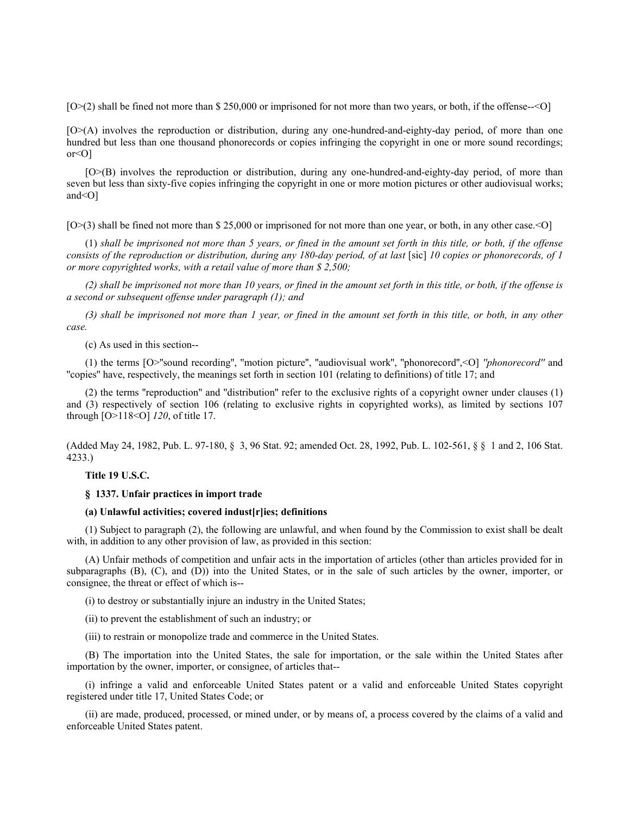[O>(2) shall be fined not more than \$ 250,000 or imprisoned for not more than two years, or both, if the offense--<0]

[O>(A) involves the reproduction or distribution, during any one-hundred-and-eighty-day period, of more than one hundred but less than one thousand phonorecords or copies infringing the copyright in one or more sound recordings; or<O]

[O>(B) involves the reproduction or distribution, during any one-hundred-and-eighty-day period, of more than seven but less than sixty-five copies infringing the copyright in one or more motion pictures or other audiovisual works; and $\leq$ O]

[O>(3) shall be fined not more than \$ 25,000 or imprisoned for not more than one year, or both, in any other case.<O]

(1) *shall be imprisoned not more than 5 years, or fined in the amount set forth in this title, or both, if the offense consists of the reproduction or distribution, during any 180-day period, of at last* [sic] *10 copies or phonorecords, of 1 or more copyrighted works, with a retail value of more than \$ 2,500;*

*(2) shall be imprisoned not more than 10 years, or fined in the amount set forth in this title, or both, if the offense is a second or subsequent offense under paragraph (1); and*

*(3) shall be imprisoned not more than 1 year, or fined in the amount set forth in this title, or both, in any other case.*

(c) As used in this section--

(1) the terms [O>''sound recording'', ''motion picture'', ''audiovisual work'', ''phonorecord'',<O] *''phonorecord''* and ''copies'' have, respectively, the meanings set forth in section 101 (relating to definitions) of title 17; and

(2) the terms ''reproduction'' and ''distribution'' refer to the exclusive rights of a copyright owner under clauses (1) and (3) respectively of section 106 (relating to exclusive rights in copyrighted works), as limited by sections 107 through [O>118<O] *120*, of title 17.

(Added May 24, 1982, Pub. L. 97-180, § 3, 96 Stat. 92; amended Oct. 28, 1992, Pub. L. 102-561, § § 1 and 2, 106 Stat. 4233.)

**Title 19 U.S.C.**

#### **§ 1337. Unfair practices in import trade**

## **(a) Unlawful activities; covered indust[r]ies; definitions**

(1) Subject to paragraph (2), the following are unlawful, and when found by the Commission to exist shall be dealt with, in addition to any other provision of law, as provided in this section:

(A) Unfair methods of competition and unfair acts in the importation of articles (other than articles provided for in subparagraphs (B), (C), and (D)) into the United States, or in the sale of such articles by the owner, importer, or consignee, the threat or effect of which is--

(i) to destroy or substantially injure an industry in the United States;

(ii) to prevent the establishment of such an industry; or

(iii) to restrain or monopolize trade and commerce in the United States.

(B) The importation into the United States, the sale for importation, or the sale within the United States after importation by the owner, importer, or consignee, of articles that--

(i) infringe a valid and enforceable United States patent or a valid and enforceable United States copyright registered under title 17, United States Code; or

(ii) are made, produced, processed, or mined under, or by means of, a process covered by the claims of a valid and enforceable United States patent.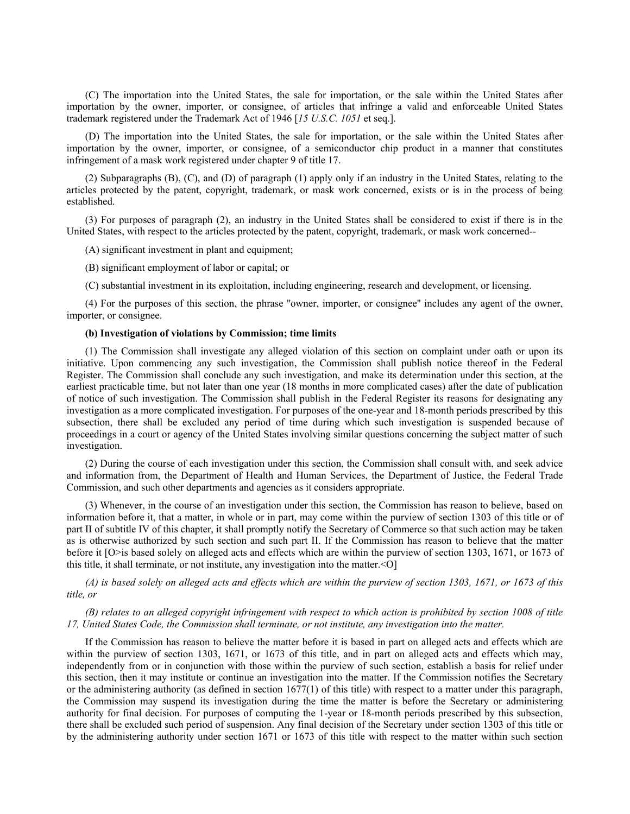(C) The importation into the United States, the sale for importation, or the sale within the United States after importation by the owner, importer, or consignee, of articles that infringe a valid and enforceable United States trademark registered under the Trademark Act of 1946 [*15 U.S.C. 1051* et seq.].

(D) The importation into the United States, the sale for importation, or the sale within the United States after importation by the owner, importer, or consignee, of a semiconductor chip product in a manner that constitutes infringement of a mask work registered under chapter 9 of title 17.

(2) Subparagraphs (B), (C), and (D) of paragraph (1) apply only if an industry in the United States, relating to the articles protected by the patent, copyright, trademark, or mask work concerned, exists or is in the process of being established.

(3) For purposes of paragraph (2), an industry in the United States shall be considered to exist if there is in the United States, with respect to the articles protected by the patent, copyright, trademark, or mask work concerned--

(A) significant investment in plant and equipment;

(B) significant employment of labor or capital; or

(C) substantial investment in its exploitation, including engineering, research and development, or licensing.

(4) For the purposes of this section, the phrase ''owner, importer, or consignee'' includes any agent of the owner, importer, or consignee.

## **(b) Investigation of violations by Commission; time limits**

(1) The Commission shall investigate any alleged violation of this section on complaint under oath or upon its initiative. Upon commencing any such investigation, the Commission shall publish notice thereof in the Federal Register. The Commission shall conclude any such investigation, and make its determination under this section, at the earliest practicable time, but not later than one year (18 months in more complicated cases) after the date of publication of notice of such investigation. The Commission shall publish in the Federal Register its reasons for designating any investigation as a more complicated investigation. For purposes of the one-year and 18-month periods prescribed by this subsection, there shall be excluded any period of time during which such investigation is suspended because of proceedings in a court or agency of the United States involving similar questions concerning the subject matter of such investigation.

(2) During the course of each investigation under this section, the Commission shall consult with, and seek advice and information from, the Department of Health and Human Services, the Department of Justice, the Federal Trade Commission, and such other departments and agencies as it considers appropriate.

(3) Whenever, in the course of an investigation under this section, the Commission has reason to believe, based on information before it, that a matter, in whole or in part, may come within the purview of section 1303 of this title or of part II of subtitle IV of this chapter, it shall promptly notify the Secretary of Commerce so that such action may be taken as is otherwise authorized by such section and such part II. If the Commission has reason to believe that the matter before it [O>is based solely on alleged acts and effects which are within the purview of section 1303, 1671, or 1673 of this title, it shall terminate, or not institute, any investigation into the matter.<O]

*(A) is based solely on alleged acts and effects which are within the purview of section 1303, 1671, or 1673 of this title, or*

# *(B) relates to an alleged copyright infringement with respect to which action is prohibited by section 1008 of title 17, United States Code, the Commission shall terminate, or not institute, any investigation into the matter.*

If the Commission has reason to believe the matter before it is based in part on alleged acts and effects which are within the purview of section 1303, 1671, or 1673 of this title, and in part on alleged acts and effects which may, independently from or in conjunction with those within the purview of such section, establish a basis for relief under this section, then it may institute or continue an investigation into the matter. If the Commission notifies the Secretary or the administering authority (as defined in section 1677(1) of this title) with respect to a matter under this paragraph, the Commission may suspend its investigation during the time the matter is before the Secretary or administering authority for final decision. For purposes of computing the 1-year or 18-month periods prescribed by this subsection, there shall be excluded such period of suspension. Any final decision of the Secretary under section 1303 of this title or by the administering authority under section 1671 or 1673 of this title with respect to the matter within such section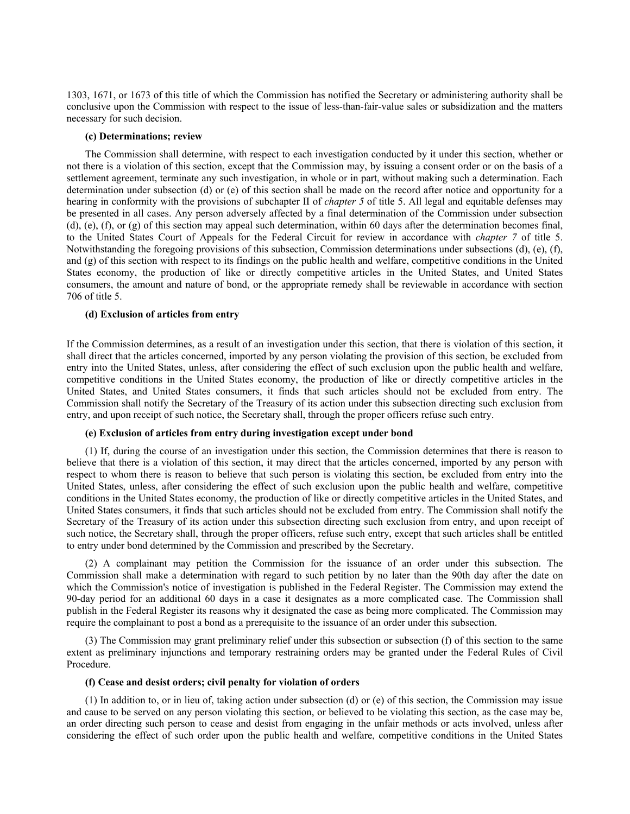1303, 1671, or 1673 of this title of which the Commission has notified the Secretary or administering authority shall be conclusive upon the Commission with respect to the issue of less-than-fair-value sales or subsidization and the matters necessary for such decision.

## **(c) Determinations; review**

The Commission shall determine, with respect to each investigation conducted by it under this section, whether or not there is a violation of this section, except that the Commission may, by issuing a consent order or on the basis of a settlement agreement, terminate any such investigation, in whole or in part, without making such a determination. Each determination under subsection (d) or (e) of this section shall be made on the record after notice and opportunity for a hearing in conformity with the provisions of subchapter II of *chapter 5* of title 5. All legal and equitable defenses may be presented in all cases. Any person adversely affected by a final determination of the Commission under subsection (d), (e), (f), or (g) of this section may appeal such determination, within 60 days after the determination becomes final, to the United States Court of Appeals for the Federal Circuit for review in accordance with *chapter 7* of title 5. Notwithstanding the foregoing provisions of this subsection, Commission determinations under subsections (d), (e), (f), and (g) of this section with respect to its findings on the public health and welfare, competitive conditions in the United States economy, the production of like or directly competitive articles in the United States, and United States consumers, the amount and nature of bond, or the appropriate remedy shall be reviewable in accordance with section 706 of title 5.

# **(d) Exclusion of articles from entry**

If the Commission determines, as a result of an investigation under this section, that there is violation of this section, it shall direct that the articles concerned, imported by any person violating the provision of this section, be excluded from entry into the United States, unless, after considering the effect of such exclusion upon the public health and welfare, competitive conditions in the United States economy, the production of like or directly competitive articles in the United States, and United States consumers, it finds that such articles should not be excluded from entry. The Commission shall notify the Secretary of the Treasury of its action under this subsection directing such exclusion from entry, and upon receipt of such notice, the Secretary shall, through the proper officers refuse such entry.

#### **(e) Exclusion of articles from entry during investigation except under bond**

(1) If, during the course of an investigation under this section, the Commission determines that there is reason to believe that there is a violation of this section, it may direct that the articles concerned, imported by any person with respect to whom there is reason to believe that such person is violating this section, be excluded from entry into the United States, unless, after considering the effect of such exclusion upon the public health and welfare, competitive conditions in the United States economy, the production of like or directly competitive articles in the United States, and United States consumers, it finds that such articles should not be excluded from entry. The Commission shall notify the Secretary of the Treasury of its action under this subsection directing such exclusion from entry, and upon receipt of such notice, the Secretary shall, through the proper officers, refuse such entry, except that such articles shall be entitled to entry under bond determined by the Commission and prescribed by the Secretary.

(2) A complainant may petition the Commission for the issuance of an order under this subsection. The Commission shall make a determination with regard to such petition by no later than the 90th day after the date on which the Commission's notice of investigation is published in the Federal Register. The Commission may extend the 90-day period for an additional 60 days in a case it designates as a more complicated case. The Commission shall publish in the Federal Register its reasons why it designated the case as being more complicated. The Commission may require the complainant to post a bond as a prerequisite to the issuance of an order under this subsection.

(3) The Commission may grant preliminary relief under this subsection or subsection (f) of this section to the same extent as preliminary injunctions and temporary restraining orders may be granted under the Federal Rules of Civil Procedure.

## **(f) Cease and desist orders; civil penalty for violation of orders**

(1) In addition to, or in lieu of, taking action under subsection (d) or (e) of this section, the Commission may issue and cause to be served on any person violating this section, or believed to be violating this section, as the case may be, an order directing such person to cease and desist from engaging in the unfair methods or acts involved, unless after considering the effect of such order upon the public health and welfare, competitive conditions in the United States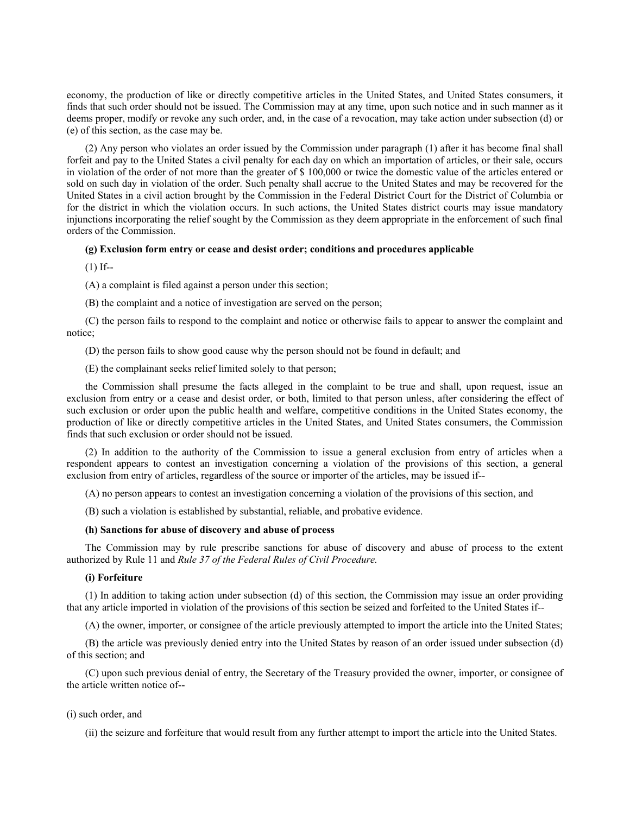economy, the production of like or directly competitive articles in the United States, and United States consumers, it finds that such order should not be issued. The Commission may at any time, upon such notice and in such manner as it deems proper, modify or revoke any such order, and, in the case of a revocation, may take action under subsection (d) or (e) of this section, as the case may be.

(2) Any person who violates an order issued by the Commission under paragraph (1) after it has become final shall forfeit and pay to the United States a civil penalty for each day on which an importation of articles, or their sale, occurs in violation of the order of not more than the greater of \$ 100,000 or twice the domestic value of the articles entered or sold on such day in violation of the order. Such penalty shall accrue to the United States and may be recovered for the United States in a civil action brought by the Commission in the Federal District Court for the District of Columbia or for the district in which the violation occurs. In such actions, the United States district courts may issue mandatory injunctions incorporating the relief sought by the Commission as they deem appropriate in the enforcement of such final orders of the Commission.

## **(g) Exclusion form entry or cease and desist order; conditions and procedures applicable**

 $(1)$  If--

(A) a complaint is filed against a person under this section;

(B) the complaint and a notice of investigation are served on the person;

(C) the person fails to respond to the complaint and notice or otherwise fails to appear to answer the complaint and notice;

(D) the person fails to show good cause why the person should not be found in default; and

(E) the complainant seeks relief limited solely to that person;

the Commission shall presume the facts alleged in the complaint to be true and shall, upon request, issue an exclusion from entry or a cease and desist order, or both, limited to that person unless, after considering the effect of such exclusion or order upon the public health and welfare, competitive conditions in the United States economy, the production of like or directly competitive articles in the United States, and United States consumers, the Commission finds that such exclusion or order should not be issued.

(2) In addition to the authority of the Commission to issue a general exclusion from entry of articles when a respondent appears to contest an investigation concerning a violation of the provisions of this section, a general exclusion from entry of articles, regardless of the source or importer of the articles, may be issued if--

(A) no person appears to contest an investigation concerning a violation of the provisions of this section, and

(B) such a violation is established by substantial, reliable, and probative evidence.

## **(h) Sanctions for abuse of discovery and abuse of process**

The Commission may by rule prescribe sanctions for abuse of discovery and abuse of process to the extent authorized by Rule 11 and *Rule 37 of the Federal Rules of Civil Procedure.*

## **(i) Forfeiture**

(1) In addition to taking action under subsection (d) of this section, the Commission may issue an order providing that any article imported in violation of the provisions of this section be seized and forfeited to the United States if--

(A) the owner, importer, or consignee of the article previously attempted to import the article into the United States;

(B) the article was previously denied entry into the United States by reason of an order issued under subsection (d) of this section; and

(C) upon such previous denial of entry, the Secretary of the Treasury provided the owner, importer, or consignee of the article written notice of--

## (i) such order, and

(ii) the seizure and forfeiture that would result from any further attempt to import the article into the United States.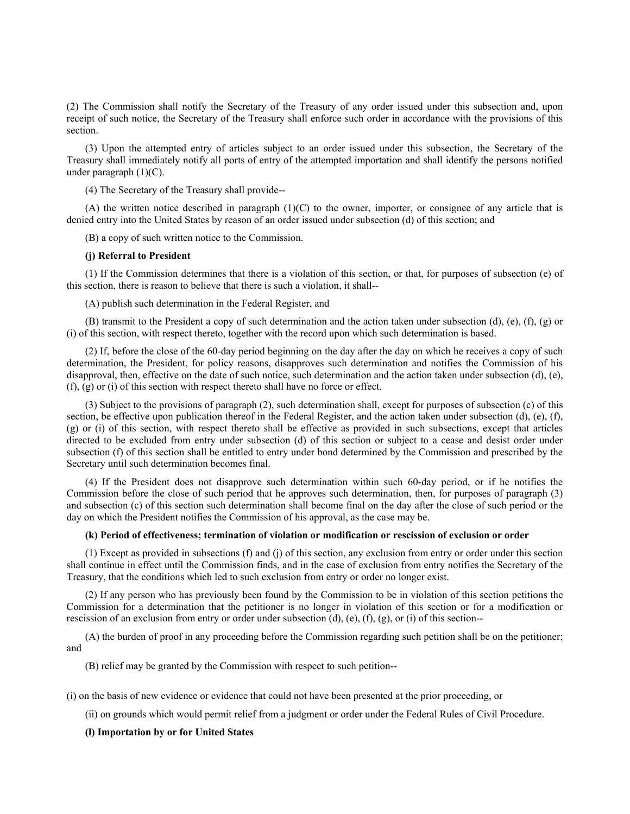(2) The Commission shall notify the Secretary of the Treasury of any order issued under this subsection and, upon receipt of such notice, the Secretary of the Treasury shall enforce such order in accordance with the provisions of this section.

(3) Upon the attempted entry of articles subject to an order issued under this subsection, the Secretary of the Treasury shall immediately notify all ports of entry of the attempted importation and shall identify the persons notified under paragraph (1)(C).

(4) The Secretary of the Treasury shall provide--

(A) the written notice described in paragraph (1)(C) to the owner, importer, or consignee of any article that is denied entry into the United States by reason of an order issued under subsection (d) of this section; and

(B) a copy of such written notice to the Commission.

### **(j) Referral to President**

(1) If the Commission determines that there is a violation of this section, or that, for purposes of subsection (e) of this section, there is reason to believe that there is such a violation, it shall--

(A) publish such determination in the Federal Register, and

(B) transmit to the President a copy of such determination and the action taken under subsection (d), (e), (f), (g) or (i) of this section, with respect thereto, together with the record upon which such determination is based.

(2) If, before the close of the 60-day period beginning on the day after the day on which he receives a copy of such determination, the President, for policy reasons, disapproves such determination and notifies the Commission of his disapproval, then, effective on the date of such notice, such determination and the action taken under subsection (d), (e), (f), (g) or (i) of this section with respect thereto shall have no force or effect.

(3) Subject to the provisions of paragraph (2), such determination shall, except for purposes of subsection (c) of this section, be effective upon publication thereof in the Federal Register, and the action taken under subsection  $(d)$ ,  $(e)$ ,  $(f)$ , (g) or (i) of this section, with respect thereto shall be effective as provided in such subsections, except that articles directed to be excluded from entry under subsection (d) of this section or subject to a cease and desist order under subsection (f) of this section shall be entitled to entry under bond determined by the Commission and prescribed by the Secretary until such determination becomes final.

(4) If the President does not disapprove such determination within such 60-day period, or if he notifies the Commission before the close of such period that he approves such determination, then, for purposes of paragraph (3) and subsection (c) of this section such determination shall become final on the day after the close of such period or the day on which the President notifies the Commission of his approval, as the case may be.

### **(k) Period of effectiveness; termination of violation or modification or rescission of exclusion or order**

(1) Except as provided in subsections (f) and (j) of this section, any exclusion from entry or order under this section shall continue in effect until the Commission finds, and in the case of exclusion from entry notifies the Secretary of the Treasury, that the conditions which led to such exclusion from entry or order no longer exist.

(2) If any person who has previously been found by the Commission to be in violation of this section petitions the Commission for a determination that the petitioner is no longer in violation of this section or for a modification or rescission of an exclusion from entry or order under subsection  $(d)$ ,  $(e)$ ,  $(f)$ ,  $(g)$ , or  $(i)$  of this section--

(A) the burden of proof in any proceeding before the Commission regarding such petition shall be on the petitioner; and

(B) relief may be granted by the Commission with respect to such petition--

(i) on the basis of new evidence or evidence that could not have been presented at the prior proceeding, or

(ii) on grounds which would permit relief from a judgment or order under the Federal Rules of Civil Procedure.

# **(l) Importation by or for United States**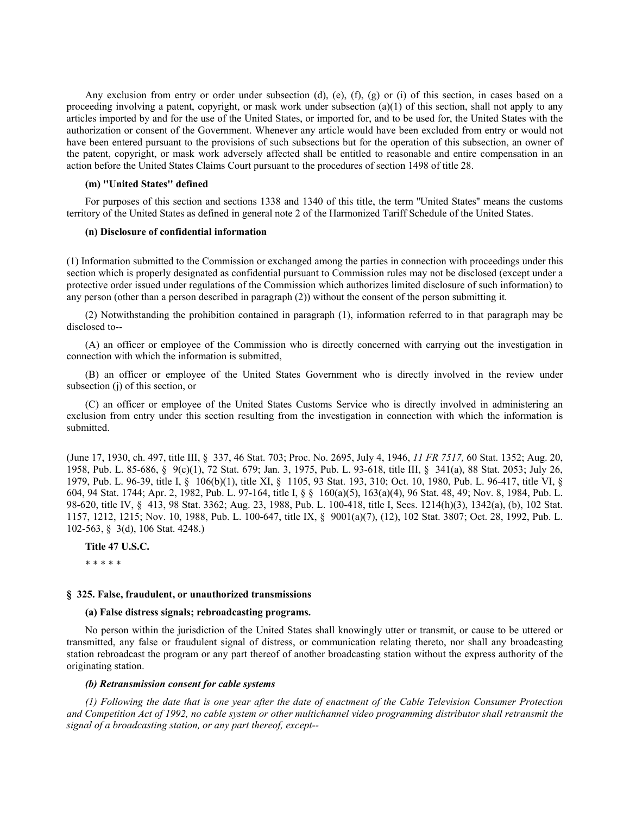Any exclusion from entry or order under subsection (d), (e), (f), (g) or (i) of this section, in cases based on a proceeding involving a patent, copyright, or mask work under subsection  $(a)(1)$  of this section, shall not apply to any articles imported by and for the use of the United States, or imported for, and to be used for, the United States with the authorization or consent of the Government. Whenever any article would have been excluded from entry or would not have been entered pursuant to the provisions of such subsections but for the operation of this subsection, an owner of the patent, copyright, or mask work adversely affected shall be entitled to reasonable and entire compensation in an action before the United States Claims Court pursuant to the procedures of section 1498 of title 28.

#### **(m) ''United States'' defined**

For purposes of this section and sections 1338 and 1340 of this title, the term ''United States'' means the customs territory of the United States as defined in general note 2 of the Harmonized Tariff Schedule of the United States.

# **(n) Disclosure of confidential information**

(1) Information submitted to the Commission or exchanged among the parties in connection with proceedings under this section which is properly designated as confidential pursuant to Commission rules may not be disclosed (except under a protective order issued under regulations of the Commission which authorizes limited disclosure of such information) to any person (other than a person described in paragraph (2)) without the consent of the person submitting it.

(2) Notwithstanding the prohibition contained in paragraph (1), information referred to in that paragraph may be disclosed to--

(A) an officer or employee of the Commission who is directly concerned with carrying out the investigation in connection with which the information is submitted,

(B) an officer or employee of the United States Government who is directly involved in the review under subsection (j) of this section, or

(C) an officer or employee of the United States Customs Service who is directly involved in administering an exclusion from entry under this section resulting from the investigation in connection with which the information is submitted.

(June 17, 1930, ch. 497, title III, § 337, 46 Stat. 703; Proc. No. 2695, July 4, 1946, *11 FR 7517,* 60 Stat. 1352; Aug. 20, 1958, Pub. L. 85-686, § 9(c)(1), 72 Stat. 679; Jan. 3, 1975, Pub. L. 93-618, title III, § 341(a), 88 Stat. 2053; July 26, 1979, Pub. L. 96-39, title I, § 106(b)(1), title XI, § 1105, 93 Stat. 193, 310; Oct. 10, 1980, Pub. L. 96-417, title VI, § 604, 94 Stat. 1744; Apr. 2, 1982, Pub. L. 97-164, title I, § § 160(a)(5), 163(a)(4), 96 Stat. 48, 49; Nov. 8, 1984, Pub. L. 98-620, title IV, § 413, 98 Stat. 3362; Aug. 23, 1988, Pub. L. 100-418, title I, Secs. 1214(h)(3), 1342(a), (b), 102 Stat. 1157, 1212, 1215; Nov. 10, 1988, Pub. L. 100-647, title IX, § 9001(a)(7), (12), 102 Stat. 3807; Oct. 28, 1992, Pub. L. 102-563, § 3(d), 106 Stat. 4248.)

**Title 47 U.S.C.**

\* \* \* \* \*

# **§ 325. False, fraudulent, or unauthorized transmissions**

### **(a) False distress signals; rebroadcasting programs.**

No person within the jurisdiction of the United States shall knowingly utter or transmit, or cause to be uttered or transmitted, any false or fraudulent signal of distress, or communication relating thereto, nor shall any broadcasting station rebroadcast the program or any part thereof of another broadcasting station without the express authority of the originating station.

# *(b) Retransmission consent for cable systems*

*(1) Following the date that is one year after the date of enactment of the Cable Television Consumer Protection and Competition Act of 1992, no cable system or other multichannel video programming distributor shall retransmit the signal of a broadcasting station, or any part thereof, except--*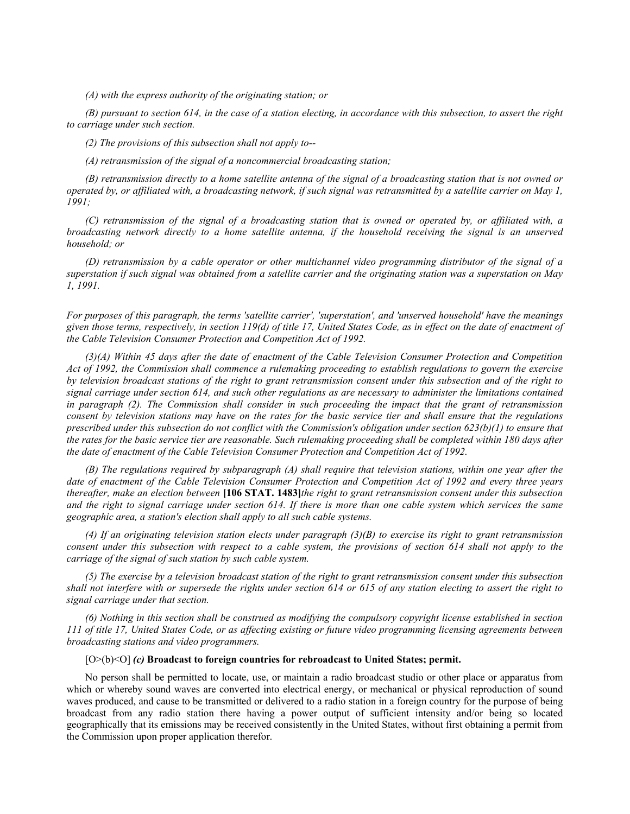*(A) with the express authority of the originating station; or*

*(B) pursuant to section 614, in the case of a station electing, in accordance with this subsection, to assert the right to carriage under such section.*

*(2) The provisions of this subsection shall not apply to--*

*(A) retransmission of the signal of a noncommercial broadcasting station;*

*(B) retransmission directly to a home satellite antenna of the signal of a broadcasting station that is not owned or operated by, or affiliated with, a broadcasting network, if such signal was retransmitted by a satellite carrier on May 1, 1991;*

*(C) retransmission of the signal of a broadcasting station that is owned or operated by, or affiliated with, a broadcasting network directly to a home satellite antenna, if the household receiving the signal is an unserved household; or*

*(D) retransmission by a cable operator or other multichannel video programming distributor of the signal of a superstation if such signal was obtained from a satellite carrier and the originating station was a superstation on May 1, 1991.*

*For purposes of this paragraph, the terms 'satellite carrier', 'superstation', and 'unserved household' have the meanings given those terms, respectively, in section 119(d) of title 17, United States Code, as in effect on the date of enactment of the Cable Television Consumer Protection and Competition Act of 1992.*

*(3)(A) Within 45 days after the date of enactment of the Cable Television Consumer Protection and Competition Act of 1992, the Commission shall commence a rulemaking proceeding to establish regulations to govern the exercise by television broadcast stations of the right to grant retransmission consent under this subsection and of the right to signal carriage under section 614, and such other regulations as are necessary to administer the limitations contained in paragraph (2). The Commission shall consider in such proceeding the impact that the grant of retransmission consent by television stations may have on the rates for the basic service tier and shall ensure that the regulations prescribed under this subsection do not conflict with the Commission's obligation under section 623(b)(1) to ensure that the rates for the basic service tier are reasonable. Such rulemaking proceeding shall be completed within 180 days after the date of enactment of the Cable Television Consumer Protection and Competition Act of 1992.*

*(B) The regulations required by subparagraph (A) shall require that television stations, within one year after the date of enactment of the Cable Television Consumer Protection and Competition Act of 1992 and every three years thereafter, make an election between* **[106 STAT. 1483]***the right to grant retransmission consent under this subsection and the right to signal carriage under section 614. If there is more than one cable system which services the same geographic area, a station's election shall apply to all such cable systems.*

*(4) If an originating television station elects under paragraph (3)(B) to exercise its right to grant retransmission consent under this subsection with respect to a cable system, the provisions of section 614 shall not apply to the carriage of the signal of such station by such cable system.*

*(5) The exercise by a television broadcast station of the right to grant retransmission consent under this subsection shall not interfere with or supersede the rights under section 614 or 615 of any station electing to assert the right to signal carriage under that section.*

*(6) Nothing in this section shall be construed as modifying the compulsory copyright license established in section 111 of title 17, United States Code, or as affecting existing or future video programming licensing agreements between broadcasting stations and video programmers.*

#### [O>(b)<O] *(c)* **Broadcast to foreign countries for rebroadcast to United States; permit.**

No person shall be permitted to locate, use, or maintain a radio broadcast studio or other place or apparatus from which or whereby sound waves are converted into electrical energy, or mechanical or physical reproduction of sound waves produced, and cause to be transmitted or delivered to a radio station in a foreign country for the purpose of being broadcast from any radio station there having a power output of sufficient intensity and/or being so located geographically that its emissions may be received consistently in the United States, without first obtaining a permit from the Commission upon proper application therefor.